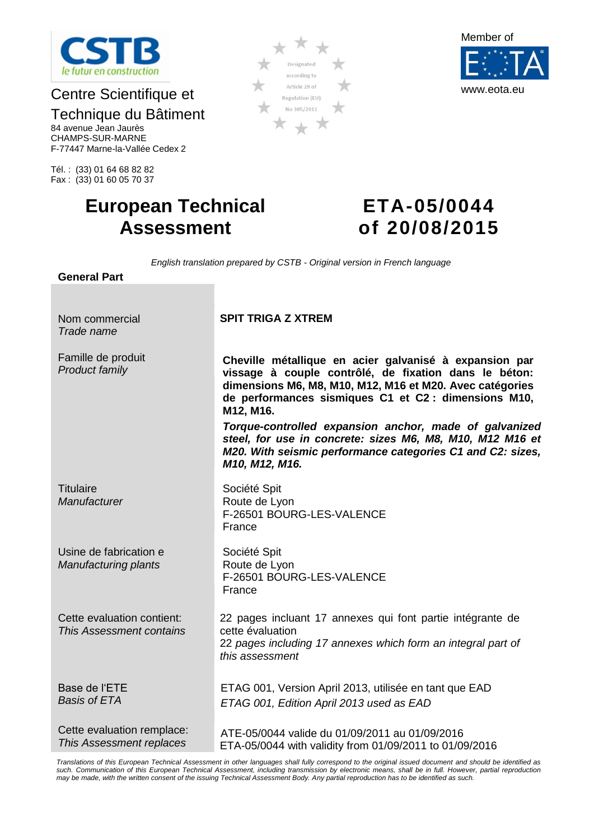

# Centre Scientifique et

# Technique du Bâtiment

84 avenue Jean Jaurès CHAMPS-SUR-MARNE F-77447 Marne-la-Vallée Cedex 2

Tél. : (33) 01 64 68 82 82 Fax : (33) 01 60 05 70 37

# **European Technical Assessment**

# **ETA-05/0044 of 20/08/2015**

**Cheville métallique en acier galvanisé à expansion par vissage à couple contrôlé, de fixation dans le béton: dimensions M6, M8, M10, M12, M16 et M20. Avec catégories de performances sismiques C1 et C2 : dimensions M10,** 

*Torque-controlled expansion anchor, made of galvanized steel, for use in concrete: sizes M6, M8, M10, M12 M16 et M20. With seismic performance categories C1 and C2: sizes,* 

22 pages incluant 17 annexes qui font partie intégrante de

22 *pages including 17 annexes which form an integral part of* 

ETAG 001, Version April 2013, utilisée en tant que EAD

*English translation prepared by CSTB - Original version in French language*

**SPIT TRIGA Z XTREM**

**M12, M16.**

*M10, M12, M16.*

F-26501 BOURG-LES-VALENCE

F-26501 BOURG-LES-VALENCE

Société Spit Route de Lyon

Société Spit Route de Lyon

cette évaluation

*this assessment*

France

France

**General Part**

Nom commercial *Trade name*

Famille de produit *Product family*

**Titulaire** *Manufacturer*

Usine de fabrication e *Manufacturing plants*

Cette evaluation contient: *This Assessment contains*

Base de l'ETE *Basis of ETA*

Cette evaluation remplace: *This Assessment replaces* ATE-05/0044 valide du 01/09/2011 au 01/09/2016 ETA-05/0044 with validity from 01/09/2011 to 01/09/2016

*ETAG 001, Edition April 2013 used as EAD*

*Translations of this European Technical Assessment in other languages shall fully correspond to the original issued document and should be identified as*  such. Communication of this European Technical Assessment, including transmission by electronic means, shall be in full. However, partial reproduction *may be made, with the written consent of the issuing Technical Assessment Body. Any partial reproduction has to be identified as such.*



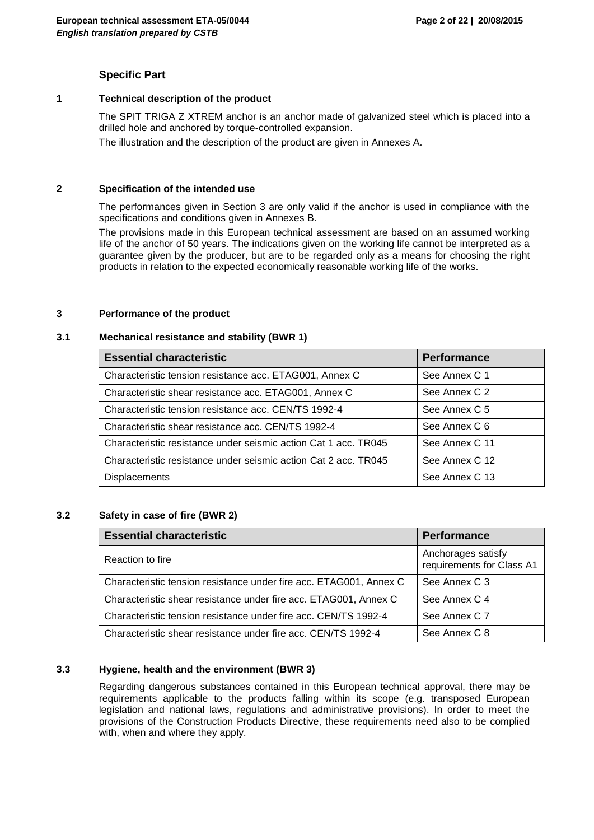#### **Specific Part**

#### **1 Technical description of the product**

The SPIT TRIGA Z XTREM anchor is an anchor made of galvanized steel which is placed into a drilled hole and anchored by torque-controlled expansion.

The illustration and the description of the product are given in Annexes A.

#### **2 Specification of the intended use**

The performances given in Section 3 are only valid if the anchor is used in compliance with the specifications and conditions given in Annexes B.

The provisions made in this European technical assessment are based on an assumed working life of the anchor of 50 years. The indications given on the working life cannot be interpreted as a guarantee given by the producer, but are to be regarded only as a means for choosing the right products in relation to the expected economically reasonable working life of the works.

#### **3 Performance of the product**

#### **3.1 Mechanical resistance and stability (BWR 1)**

| <b>Essential characteristic</b>                                 | <b>Performance</b> |
|-----------------------------------------------------------------|--------------------|
| Characteristic tension resistance acc. ETAG001, Annex C         | See Annex C 1      |
| Characteristic shear resistance acc. ETAG001, Annex C           | See Annex C 2      |
| Characteristic tension resistance acc. CEN/TS 1992-4            | See Annex C 5      |
| Characteristic shear resistance acc. CEN/TS 1992-4              | See Annex C 6      |
| Characteristic resistance under seismic action Cat 1 acc. TR045 | See Annex C 11     |
| Characteristic resistance under seismic action Cat 2 acc. TR045 | See Annex C 12     |
| <b>Displacements</b>                                            | See Annex C 13     |

#### **3.2 Safety in case of fire (BWR 2)**

| <b>Essential characteristic</b>                                    | <b>Performance</b>                              |
|--------------------------------------------------------------------|-------------------------------------------------|
| Reaction to fire                                                   | Anchorages satisfy<br>requirements for Class A1 |
| Characteristic tension resistance under fire acc. ETAG001, Annex C | See Annex C 3                                   |
| Characteristic shear resistance under fire acc. ETAG001, Annex C   | See Annex C 4                                   |
| Characteristic tension resistance under fire acc. CEN/TS 1992-4    | See Annex C 7                                   |
| Characteristic shear resistance under fire acc. CEN/TS 1992-4      | See Annex C 8                                   |

#### **3.3 Hygiene, health and the environment (BWR 3)**

Regarding dangerous substances contained in this European technical approval, there may be requirements applicable to the products falling within its scope (e.g. transposed European legislation and national laws, regulations and administrative provisions). In order to meet the provisions of the Construction Products Directive, these requirements need also to be complied with, when and where they apply.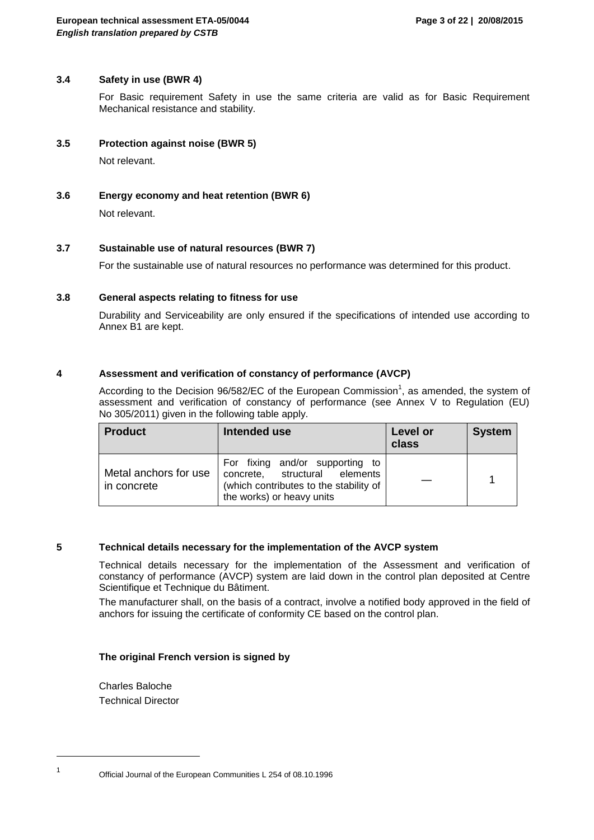#### **3.4 Safety in use (BWR 4)**

For Basic requirement Safety in use the same criteria are valid as for Basic Requirement Mechanical resistance and stability.

#### **3.5 Protection against noise (BWR 5)**

Not relevant.

#### **3.6 Energy economy and heat retention (BWR 6)**

Not relevant.

#### **3.7 Sustainable use of natural resources (BWR 7)**

For the sustainable use of natural resources no performance was determined for this product.

#### **3.8 General aspects relating to fitness for use**

Durability and Serviceability are only ensured if the specifications of intended use according to Annex B1 are kept.

#### **4 Assessment and verification of constancy of performance (AVCP)**

According to the Decision 96/582/EC of the European Commission<sup>1</sup>, as amended, the system of assessment and verification of constancy of performance (see Annex V to Regulation (EU) No 305/2011) given in the following table apply.

| <b>Product</b>                       | Intended use                                                                                                                            | Level or<br>class | <b>System</b> |
|--------------------------------------|-----------------------------------------------------------------------------------------------------------------------------------------|-------------------|---------------|
| Metal anchors for use<br>in concrete | For fixing and/or supporting to<br>concrete, structural elements<br>(which contributes to the stability of<br>the works) or heavy units |                   |               |

#### **5 Technical details necessary for the implementation of the AVCP system**

Technical details necessary for the implementation of the Assessment and verification of constancy of performance (AVCP) system are laid down in the control plan deposited at Centre Scientifique et Technique du Bâtiment.

The manufacturer shall, on the basis of a contract, involve a notified body approved in the field of anchors for issuing the certificate of conformity CE based on the control plan.

#### **The original French version is signed by**

Charles Baloche Technical Director

Official Journal of the European Communities L 254 of 08.10.1996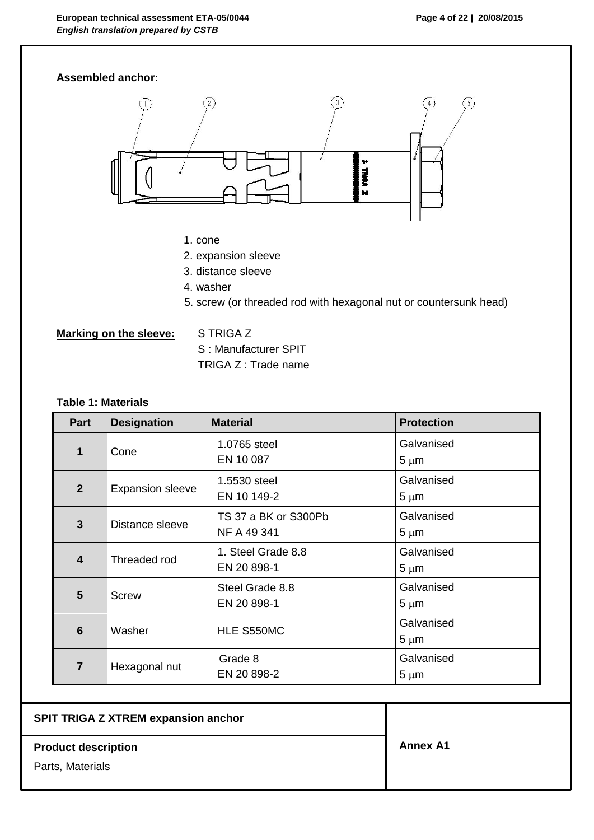

# **Table 1: Materials**

| Part                    | <b>Designation</b>      | <b>Material</b>                     | <b>Protection</b>       |
|-------------------------|-------------------------|-------------------------------------|-------------------------|
| 1                       | Cone                    | 1.0765 steel<br>EN 10 087           | Galvanised<br>$5 \mu m$ |
| 2 <sup>2</sup>          | <b>Expansion sleeve</b> | 1.5530 steel<br>EN 10 149-2         | Galvanised<br>$5 \mu m$ |
| $\overline{3}$          | Distance sleeve         | TS 37 a BK or S300Pb<br>NF A 49 341 | Galvanised<br>$5 \mu m$ |
| $\overline{\mathbf{4}}$ | Threaded rod            | 1. Steel Grade 8.8<br>EN 20 898-1   | Galvanised<br>$5 \mu m$ |
| 5                       | Screw                   | Steel Grade 8.8<br>EN 20 898-1      | Galvanised<br>$5 \mu m$ |
| 6                       | Washer                  | HLE S550MC                          | Galvanised<br>$5 \mu m$ |
| $\overline{7}$          | Hexagonal nut           | Grade 8<br>EN 20 898-2              | Galvanised<br>$5 \mu m$ |

## **SPIT TRIGA Z XTREM expansion anchor**

**Product description** 

Parts, Materials

**Annex A1**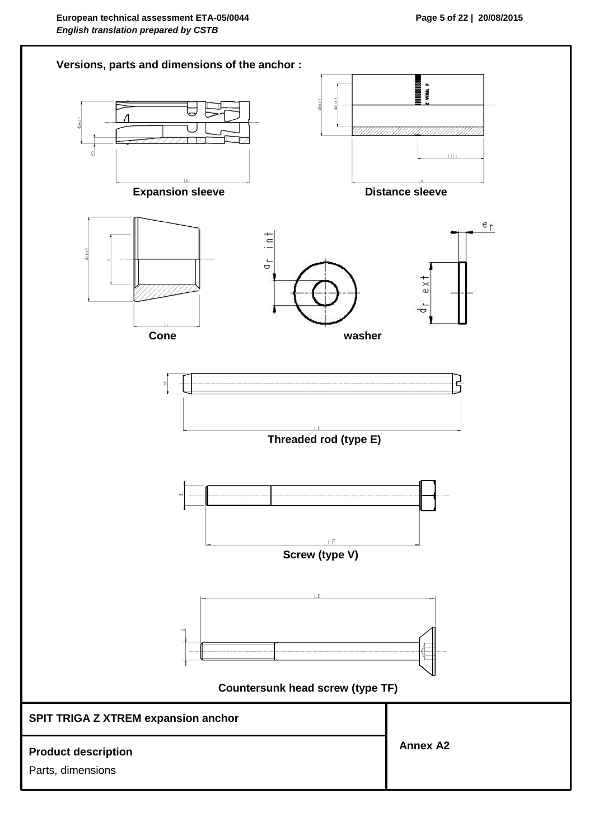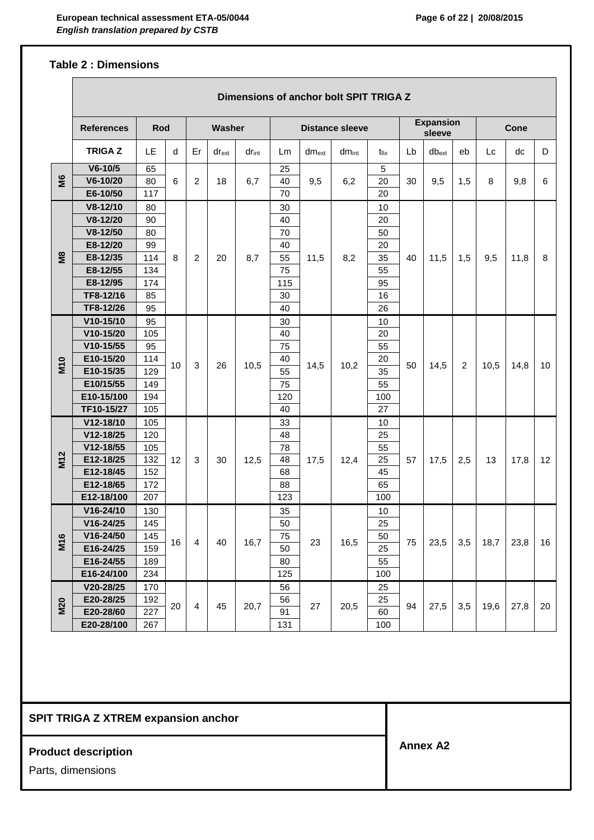#### **Table 2 : Dimensions**

 $\overline{\phantom{a}}$ 

|                      | Dimensions of anchor bolt SPIT TRIGA Z |     |    |                |            |                        |     |            |            |                            |    |            |             |      |      |    |
|----------------------|----------------------------------------|-----|----|----------------|------------|------------------------|-----|------------|------------|----------------------------|----|------------|-------------|------|------|----|
|                      | <b>References</b><br>Rod<br>Washer     |     |    |                |            | <b>Distance sleeve</b> |     |            |            | <b>Expansion</b><br>sleeve |    |            | <b>Cone</b> |      |      |    |
|                      | <b>TRIGAZ</b>                          | LE. | d  | Er             | $dr_{ext}$ | $dr_{int}$             | Lm  | $dm_{ext}$ | $dm_{int}$ | $t_{fix}$                  | Lb | $db_{ext}$ | eb          | Lc   | dc   | D  |
|                      | $V6 - 10/5$                            | 65  |    |                |            |                        | 25  |            |            | 5                          |    |            |             |      |      |    |
| ŠБ                   | V6-10/20                               | 80  | 6  | 2              | 18         | 6,7                    | 40  | 9,5        | 6,2        | 20                         | 30 | 9,5        | 1,5         | 8    | 9,8  | 6  |
|                      | E6-10/50                               | 117 |    |                |            |                        | 70  |            |            | 20                         |    |            |             |      |      |    |
|                      | V8-12/10                               | 80  |    |                |            |                        | 30  |            |            | 10                         |    |            |             |      |      |    |
|                      | V8-12/20                               | 90  |    |                |            |                        | 40  |            |            | 20                         |    |            |             |      |      |    |
|                      | $V8-12/50$                             | 80  |    |                |            |                        | 70  |            |            | 50                         |    |            |             |      |      |    |
|                      | E8-12/20                               | 99  |    |                |            |                        | 40  |            |            | 20                         |    |            |             |      |      |    |
| $\tilde{\mathbf{z}}$ | E8-12/35                               | 114 | 8  | $\overline{2}$ | 20         | 8,7                    | 55  | 11,5       | 8,2        | 35                         | 40 | 11,5       | 1,5         | 9,5  | 11,8 | 8  |
|                      | E8-12/55                               | 134 |    |                |            |                        | 75  |            |            | 55                         |    |            |             |      |      |    |
|                      | E8-12/95                               | 174 |    |                |            |                        | 115 |            |            | 95                         |    |            |             |      |      |    |
|                      | TF8-12/16                              | 85  |    |                |            |                        | 30  |            |            | 16                         |    |            |             |      |      |    |
|                      | TF8-12/26                              | 95  |    |                |            |                        | 40  |            |            | 26                         |    |            |             |      |      |    |
|                      | $V10-15/10$                            | 95  |    |                |            |                        | 30  |            |            | 10                         |    |            |             |      |      |    |
|                      | V10-15/20                              | 105 |    |                |            |                        | 40  |            |            | 20                         |    |            |             |      |      |    |
|                      | $V10-15/55$                            | 95  |    | 3              | 26         | 10,5                   | 75  | 14,5       |            | 55                         | 50 |            |             |      |      | 10 |
| <b>M10</b>           | E10-15/20                              | 114 | 10 |                |            |                        | 40  |            | 10,2       | 20                         |    | 14,5       | 2           | 10,5 | 14,8 |    |
|                      | E10-15/35                              | 129 |    |                |            |                        | 55  |            |            | 35                         |    |            |             |      |      |    |
|                      | E10/15/55                              | 149 |    |                |            |                        | 75  |            |            | 55                         |    |            |             |      |      |    |
|                      | E10-15/100                             | 194 |    |                |            |                        | 120 |            |            | 100                        |    |            |             |      |      |    |
|                      | TF10-15/27                             | 105 |    |                |            |                        | 40  |            |            | 27                         |    |            |             |      |      |    |
|                      | V12-18/10                              | 105 |    |                |            |                        | 33  |            |            | 10                         |    |            |             |      |      |    |
|                      | V12-18/25                              | 120 |    |                |            |                        | 48  |            |            | 25                         |    |            |             |      |      |    |
|                      | V12-18/55                              | 105 |    |                |            |                        | 78  |            |            | 55                         |    |            |             |      |      |    |
| <b>M12</b>           | E12-18/25                              | 132 | 12 | 3              | 30         | 12,5                   | 48  | 17,5       | 12,4       | 25                         | 57 | 17,5       | 2,5         | 13   | 17,8 | 12 |
|                      | E12-18/45                              | 152 |    |                |            |                        | 68  |            |            | 45                         |    |            |             |      |      |    |
|                      | E12-18/65                              | 172 |    |                |            |                        | 88  |            |            | 65                         |    |            |             |      |      |    |
|                      | E12-18/100                             | 207 |    |                |            |                        | 123 |            |            | 100                        |    |            |             |      |      |    |
|                      | V16-24/10                              | 130 |    |                |            |                        | 35  |            |            | 10                         |    |            |             |      |      |    |
|                      | V16-24/25                              | 145 |    |                |            |                        | 50  |            |            | 25                         |    |            |             |      |      |    |
| M16                  | $V16 - 24/50$                          | 145 | 16 | 4              | 40         | 16,7                   | 75  | 23         | 16,5       | 50                         | 75 | 23,5       | 3,5         | 18,7 | 23,8 | 16 |
|                      | E16-24/25                              | 159 |    |                |            |                        | 50  |            |            | 25                         |    |            |             |      |      |    |
|                      | E16-24/55                              | 189 |    |                |            |                        | 80  |            |            | 55                         |    |            |             |      |      |    |
|                      | E16-24/100                             | 234 |    |                |            |                        | 125 |            |            | 100                        |    |            |             |      |      |    |
|                      | V20-28/25                              | 170 |    |                |            |                        | 56  |            |            | 25                         |    |            |             |      |      |    |
| <b>M20</b>           | E20-28/25                              | 192 | 20 | $\overline{4}$ | 45         | 20,7                   | 56  | 27         | 20,5       | 25                         | 94 | 27,5       | 3,5         | 19,6 | 27,8 | 20 |
|                      | E20-28/60                              | 227 |    |                |            |                        | 91  |            |            | 60                         |    |            |             |      |      |    |
|                      | E20-28/100                             | 267 |    |                |            |                        | 131 |            |            | 100                        |    |            |             |      |      |    |

## **SPIT TRIGA Z XTREM expansion anchor**

# **Product description**

Parts, dimensions

**Annex A2**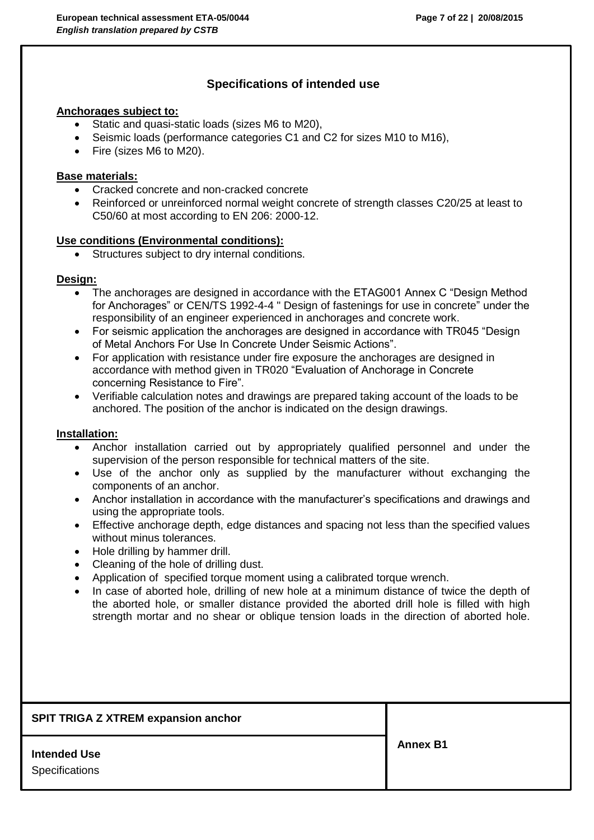# **Specifications of intended use**

#### **Anchorages subject to:**

- Static and quasi-static loads (sizes M6 to M20),
- Seismic loads (performance categories C1 and C2 for sizes M10 to M16),
- Fire (sizes M6 to M20).

### **Base materials:**

- Cracked concrete and non-cracked concrete
- Reinforced or unreinforced normal weight concrete of strength classes C20/25 at least to C50/60 at most according to EN 206: 2000-12.

#### **Use conditions (Environmental conditions):**

Structures subject to dry internal conditions.

#### **Design:**

- The anchorages are designed in accordance with the ETAG001 Annex C "Design Method for Anchorages" or CEN/TS 1992-4-4 " Design of fastenings for use in concrete" under the responsibility of an engineer experienced in anchorages and concrete work.
- For seismic application the anchorages are designed in accordance with TR045 "Design of Metal Anchors For Use In Concrete Under Seismic Actions".
- For application with resistance under fire exposure the anchorages are designed in accordance with method given in TR020 "Evaluation of Anchorage in Concrete concerning Resistance to Fire".
- Verifiable calculation notes and drawings are prepared taking account of the loads to be anchored. The position of the anchor is indicated on the design drawings.

#### **Installation:**

- Anchor installation carried out by appropriately qualified personnel and under the supervision of the person responsible for technical matters of the site.
- Use of the anchor only as supplied by the manufacturer without exchanging the components of an anchor.
- Anchor installation in accordance with the manufacturer's specifications and drawings and using the appropriate tools.
- Effective anchorage depth, edge distances and spacing not less than the specified values without minus tolerances.
- Hole drilling by hammer drill.
- Cleaning of the hole of drilling dust.
- Application of specified torque moment using a calibrated torque wrench.
- In case of aborted hole, drilling of new hole at a minimum distance of twice the depth of the aborted hole, or smaller distance provided the aborted drill hole is filled with high strength mortar and no shear or oblique tension loads in the direction of aborted hole.

| <b>SPIT TRIGA Z XTREM expansion anchor</b> |                 |
|--------------------------------------------|-----------------|
| <b>Intended Use</b><br>Specifications      | <b>Annex B1</b> |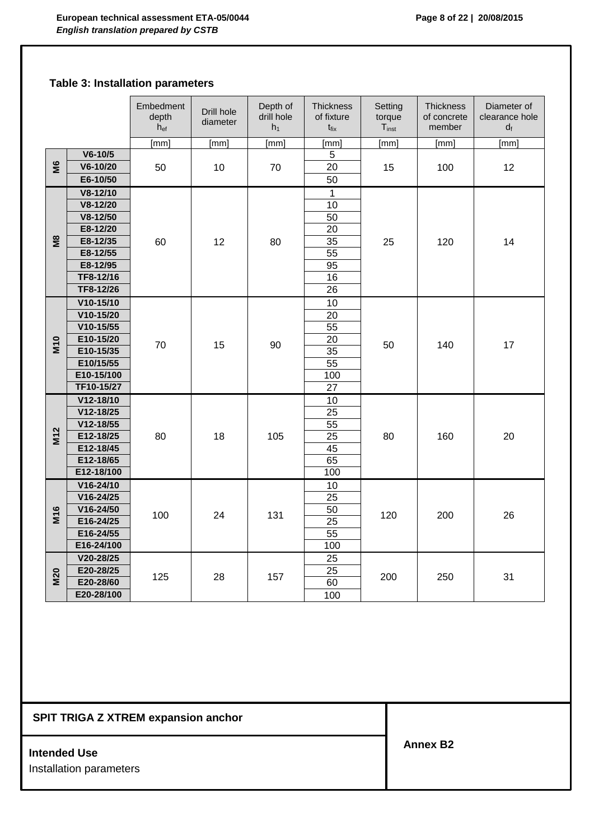# **Table 3: Installation parameters**

|                 |               | Embedment<br>depth<br>$h_{ef}$ | Drill hole<br>diameter | Depth of<br>drill hole<br>h <sub>1</sub> | <b>Thickness</b><br>of fixture<br>$t_{fix}$ | Setting<br>torque<br>$T_{inst}$ | <b>Thickness</b><br>of concrete<br>member | Diameter of<br>clearance hole<br>$d_f$ |     |  |  |  |
|-----------------|---------------|--------------------------------|------------------------|------------------------------------------|---------------------------------------------|---------------------------------|-------------------------------------------|----------------------------------------|-----|--|--|--|
|                 |               | [mm]                           | [mm]                   | [mm]                                     | [mm]                                        | [mm]                            | [mm]                                      | [mm]                                   |     |  |  |  |
|                 | $V6 - 10/5$   |                                |                        |                                          | 5                                           |                                 |                                           |                                        |     |  |  |  |
| S               | V6-10/20      | 50                             | 10                     | 70                                       | 20                                          | 15                              | 100                                       | 12                                     |     |  |  |  |
|                 | E6-10/50      |                                |                        |                                          | 50                                          |                                 |                                           |                                        |     |  |  |  |
|                 | $V8-12/10$    |                                |                        |                                          | $\mathbf{1}$                                |                                 |                                           |                                        |     |  |  |  |
|                 | V8-12/20      |                                |                        |                                          | 10                                          |                                 |                                           |                                        |     |  |  |  |
|                 | $V8-12/50$    |                                |                        |                                          | 50                                          |                                 |                                           |                                        |     |  |  |  |
|                 | E8-12/20      |                                |                        |                                          | 20                                          |                                 |                                           |                                        |     |  |  |  |
| SØ              | E8-12/35      | 60                             | 12                     | 80                                       | 35                                          | 25                              | 120                                       | 14                                     |     |  |  |  |
|                 | E8-12/55      |                                |                        |                                          | 55                                          |                                 |                                           |                                        |     |  |  |  |
|                 | E8-12/95      |                                |                        |                                          | 95                                          |                                 |                                           |                                        |     |  |  |  |
|                 | TF8-12/16     |                                |                        |                                          | 16                                          |                                 |                                           |                                        |     |  |  |  |
|                 | TF8-12/26     |                                |                        |                                          | 26                                          |                                 |                                           |                                        |     |  |  |  |
|                 | $V10-15/10$   |                                |                        |                                          | 10                                          |                                 |                                           |                                        |     |  |  |  |
|                 | V10-15/20     |                                |                        |                                          | 20                                          |                                 |                                           |                                        |     |  |  |  |
|                 | $V10-15/55$   |                                |                        |                                          | 55                                          |                                 |                                           |                                        |     |  |  |  |
|                 | E10-15/20     |                                |                        |                                          | 20                                          |                                 |                                           |                                        |     |  |  |  |
| <b>M10</b>      | E10-15/35     | 70                             | 15                     | 90                                       | 35                                          | 50                              | 140                                       | 17                                     |     |  |  |  |
|                 | E10/15/55     |                                |                        |                                          | $\overline{55}$                             |                                 |                                           |                                        |     |  |  |  |
|                 | E10-15/100    |                                |                        |                                          |                                             |                                 |                                           |                                        | 100 |  |  |  |
|                 | TF10-15/27    |                                |                        |                                          | 27                                          |                                 |                                           |                                        |     |  |  |  |
|                 | V12-18/10     |                                |                        |                                          | 10                                          |                                 |                                           |                                        |     |  |  |  |
|                 | V12-18/25     |                                |                        |                                          | 25                                          |                                 |                                           |                                        |     |  |  |  |
|                 | V12-18/55     |                                |                        |                                          | 55                                          |                                 |                                           |                                        |     |  |  |  |
| M <sub>12</sub> | E12-18/25     | 80                             | 18                     | 105                                      | $\overline{25}$                             | 80                              | 160                                       | 20                                     |     |  |  |  |
|                 | E12-18/45     |                                |                        |                                          | 45                                          |                                 |                                           |                                        |     |  |  |  |
|                 | E12-18/65     |                                |                        |                                          | 65                                          |                                 |                                           |                                        |     |  |  |  |
|                 | E12-18/100    |                                |                        |                                          | 100                                         |                                 |                                           |                                        |     |  |  |  |
|                 | V16-24/10     |                                |                        |                                          | 10                                          |                                 |                                           |                                        |     |  |  |  |
|                 | $V16 - 24/25$ |                                |                        |                                          | $\overline{25}$                             |                                 |                                           |                                        |     |  |  |  |
| M16             | V16-24/50     | 100                            |                        | 131                                      | 50                                          | 120                             | 200                                       | 26                                     |     |  |  |  |
|                 | E16-24/25     |                                | 24                     |                                          | 25                                          |                                 |                                           |                                        |     |  |  |  |
|                 | E16-24/55     |                                |                        |                                          | 55                                          |                                 |                                           |                                        |     |  |  |  |
|                 | E16-24/100    |                                |                        |                                          | 100                                         |                                 |                                           |                                        |     |  |  |  |
|                 | V20-28/25     |                                |                        |                                          | 25                                          |                                 |                                           |                                        |     |  |  |  |
|                 | E20-28/25     |                                |                        |                                          | $\overline{25}$                             |                                 |                                           |                                        |     |  |  |  |
| <b>M20</b>      | E20-28/60     | 125                            | 28                     | 157                                      | 60                                          | 200                             | 250                                       | 31                                     |     |  |  |  |
|                 | E20-28/100    |                                |                        |                                          | 100                                         |                                 |                                           |                                        |     |  |  |  |

# **SPIT TRIGA Z XTREM expansion anchor**

#### **Intended Use**

Installation parameters

**Annex B2**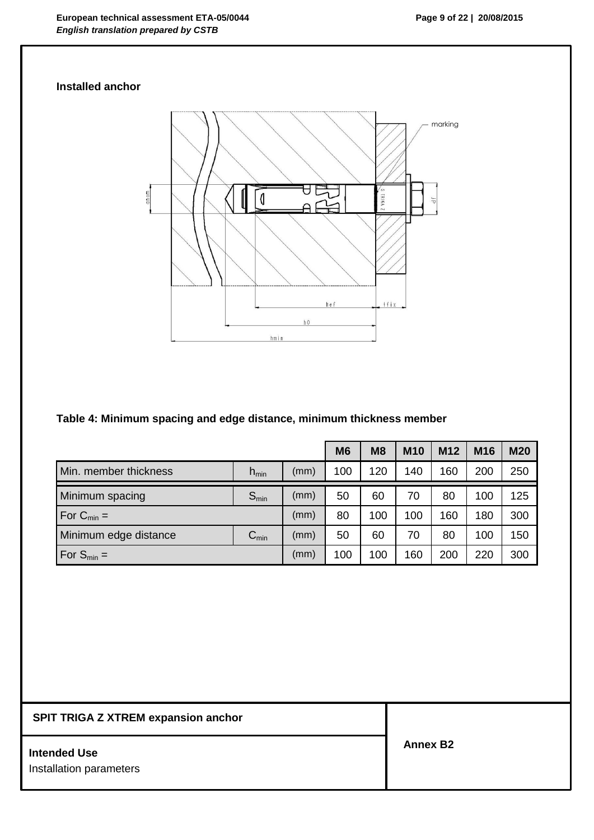# **Installed anchor**



# **Table 4: Minimum spacing and edge distance, minimum thickness member**

|                        |                  |      | <b>M6</b> | M8  | <b>M10</b> | M <sub>12</sub> | M <sub>16</sub> | <b>M20</b> |
|------------------------|------------------|------|-----------|-----|------------|-----------------|-----------------|------------|
| Min. member thickness  | $h_{\text{min}}$ | (mm) | 100       | 120 | 140        | 160             | 200             | 250        |
| Minimum spacing        | $S_{min}$        | (mm) | 50        | 60  | 70         | 80              | 100             | 125        |
| For $C_{\text{min}} =$ |                  | (mm) | 80        | 100 | 100        | 160             | 180             | 300        |
| Minimum edge distance  | $C_{min}$        | (mm) | 50        | 60  | 70         | 80              | 100             | 150        |
| For $S_{\text{min}} =$ |                  | (mm) | 100       | 100 | 160        | 200             | 220             | 300        |

# **SPIT TRIGA Z XTREM expansion anchor**

#### **Intended Use**

Installation parameters

**Annex B2**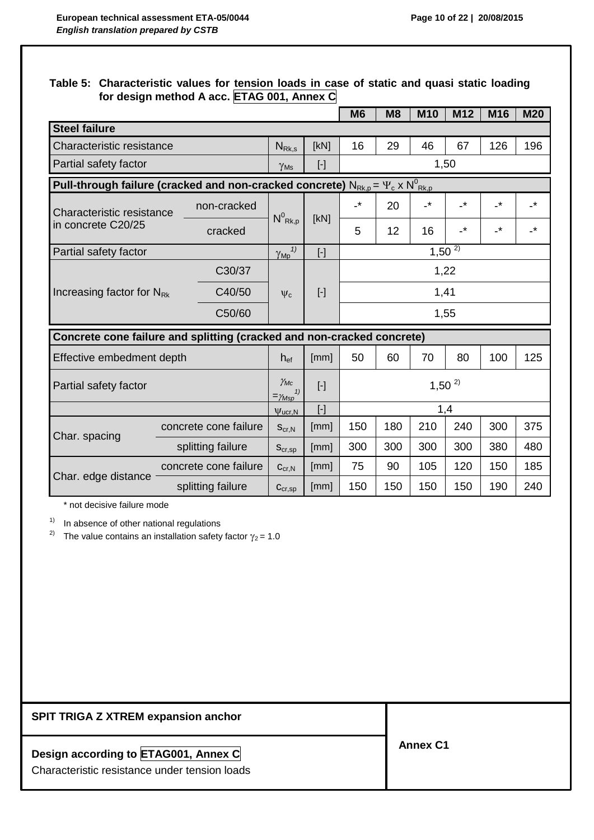# **Table 5: Characteristic values for tension loads in case of static and quasi static loading for design method A acc. ETAG 001, Annex C**

|                                |                                                                                               |                                            |                                                                                                                                                                                                                                                                                                                                                                                                                                                                                                                                                                                                                                                                                                                                           | M <sub>6</sub>  | M8  | <b>M10</b>      | M <sub>12</sub>          | M16             | <b>M20</b>                 |
|--------------------------------|-----------------------------------------------------------------------------------------------|--------------------------------------------|-------------------------------------------------------------------------------------------------------------------------------------------------------------------------------------------------------------------------------------------------------------------------------------------------------------------------------------------------------------------------------------------------------------------------------------------------------------------------------------------------------------------------------------------------------------------------------------------------------------------------------------------------------------------------------------------------------------------------------------------|-----------------|-----|-----------------|--------------------------|-----------------|----------------------------|
| <b>Steel failure</b>           |                                                                                               |                                            |                                                                                                                                                                                                                                                                                                                                                                                                                                                                                                                                                                                                                                                                                                                                           |                 |     |                 |                          |                 |                            |
| Characteristic resistance      |                                                                                               | $N_{\rm Rk,s}$                             | [kN]                                                                                                                                                                                                                                                                                                                                                                                                                                                                                                                                                                                                                                                                                                                                      | 16              | 29  | 46              | 67                       | 126             | 196                        |
| Partial safety factor          |                                                                                               | $\gamma_{\rm Ms}$                          | $[\cdot] % \centering \includegraphics[width=0.9\textwidth]{images/TrDiM-Architecture.png} % \caption{The first two different values of $S$ and $S$ is the same as in Figure \ref{fig:map}(a) and the second two different values of $S$ and $S$ is the same as in Figure \ref{fig:map}(b) and the third two different values of $S$ and $S$ are the same as in Figure \ref{fig:map}(c) and the third two different values of $S$ are the same as in Figure \ref{fig:map}(d) and the third two different values of $S$ are the same as inFigure \ref{fig:map}(e) and the third two different values of $S$ are the same as inFigure \ref{fig:map}(e) and the third two different values of $S$ are the same as inFigure \ref{fig:map}(f)$ |                 |     |                 | 1,50                     |                 |                            |
|                                | Pull-through failure (cracked and non-cracked concrete) $N_{Rk,p} = \Psi_c \times N^0_{Rk,p}$ |                                            |                                                                                                                                                                                                                                                                                                                                                                                                                                                                                                                                                                                                                                                                                                                                           |                 |     |                 |                          |                 |                            |
| Characteristic resistance      | non-cracked                                                                                   | $N^0$ <sub>Rk,p</sub>                      | [kN]                                                                                                                                                                                                                                                                                                                                                                                                                                                                                                                                                                                                                                                                                                                                      | $\cdot^{\star}$ | 20  | $\cdot^{\star}$ | $\cdot^*$                | $\cdot^{\star}$ | $\cdot^*$                  |
| in concrete C20/25             | cracked                                                                                       |                                            |                                                                                                                                                                                                                                                                                                                                                                                                                                                                                                                                                                                                                                                                                                                                           | 5               | 12  | 16              | $\overline{\phantom{a}}$ | $\cdot^{\star}$ | $\overline{\phantom{a}}^*$ |
| Partial safety factor          |                                                                                               | $\gamma_{Mp}$ <sup>1)</sup>                | $[\cdot]$                                                                                                                                                                                                                                                                                                                                                                                                                                                                                                                                                                                                                                                                                                                                 |                 |     |                 | $1,50^{2}$               |                 |                            |
|                                | C30/37                                                                                        |                                            |                                                                                                                                                                                                                                                                                                                                                                                                                                                                                                                                                                                                                                                                                                                                           |                 |     |                 | 1,22                     |                 |                            |
| Increasing factor for $N_{Rk}$ | C40/50                                                                                        | $\Psi_c$                                   | $[\cdot]$                                                                                                                                                                                                                                                                                                                                                                                                                                                                                                                                                                                                                                                                                                                                 |                 |     | 1,41            |                          |                 |                            |
|                                | C50/60                                                                                        |                                            |                                                                                                                                                                                                                                                                                                                                                                                                                                                                                                                                                                                                                                                                                                                                           |                 |     |                 | 1,55                     |                 |                            |
|                                | Concrete cone failure and splitting (cracked and non-cracked concrete)                        |                                            |                                                                                                                                                                                                                                                                                                                                                                                                                                                                                                                                                                                                                                                                                                                                           |                 |     |                 |                          |                 |                            |
| Effective embedment depth      |                                                                                               | $h_{ef}$                                   | [mm]                                                                                                                                                                                                                                                                                                                                                                                                                                                                                                                                                                                                                                                                                                                                      | 50              | 60  | 70              | 80                       | 100             | 125                        |
| Partial safety factor          |                                                                                               | $\gamma_{Mc}$<br>1)<br>$=\!\!\gamma_{Msp}$ | $[\cdot]$                                                                                                                                                                                                                                                                                                                                                                                                                                                                                                                                                                                                                                                                                                                                 | $1,50^{2}$      |     |                 |                          |                 |                            |
|                                |                                                                                               | $\Psi$ ucr, N                              | $[\cdot]$                                                                                                                                                                                                                                                                                                                                                                                                                                                                                                                                                                                                                                                                                                                                 |                 |     |                 | 1,4                      |                 |                            |
| Char. spacing                  | concrete cone failure                                                                         | $S_{\text{cr,N}}$                          | [mm]                                                                                                                                                                                                                                                                                                                                                                                                                                                                                                                                                                                                                                                                                                                                      | 150             | 180 | 210             | 240                      | 300             | 375                        |
|                                | splitting failure                                                                             | $S_{cr,sp}$                                | [mm]                                                                                                                                                                                                                                                                                                                                                                                                                                                                                                                                                                                                                                                                                                                                      | 300             | 300 | 300             | 300                      | 380             | 480                        |
| Char. edge distance            | concrete cone failure                                                                         | $C_{\text{cr.N}}$                          | [mm]                                                                                                                                                                                                                                                                                                                                                                                                                                                                                                                                                                                                                                                                                                                                      | 75              | 90  | 105             | 120                      | 150             | 185                        |
|                                | splitting failure                                                                             | $C_{cr,sp}$                                | [mm]                                                                                                                                                                                                                                                                                                                                                                                                                                                                                                                                                                                                                                                                                                                                      | 150             | 150 | 150             | 150                      | 190             | 240                        |

\* not decisive failure mode

 $1)$  In absence of other national regulations

<sup>2)</sup> The value contains an installation safety factor  $\gamma_2$  = 1.0

# **SPIT TRIGA Z XTREM expansion anchor**

# **Design according to ETAG001, Annex C**

Characteristic resistance under tension loads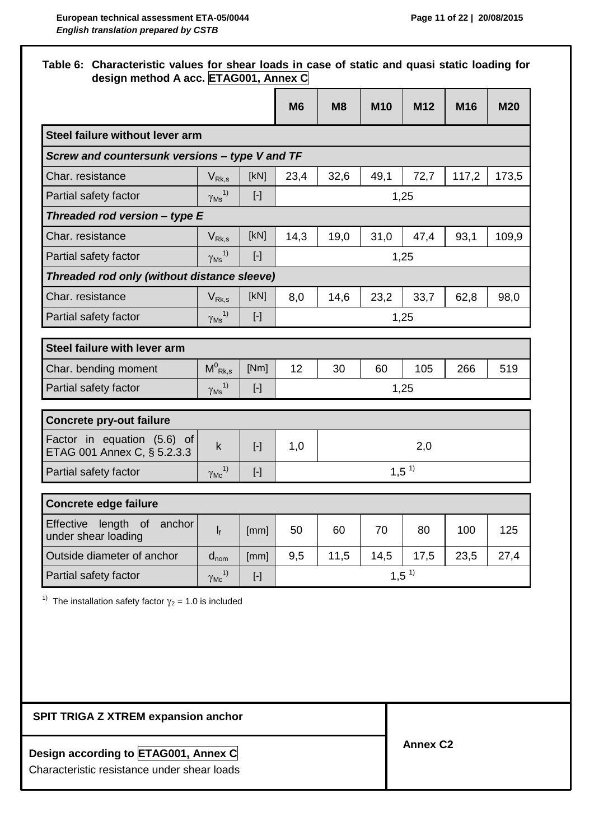## **Table 6: Characteristic values for shear loads in case of static and quasi static loading for design method A acc. ETAG001, Annex C**

|                                                                |                                      |                                                                                                                                                                                                                                                        | M <sub>6</sub> | M8   | <b>M10</b> | M12       | M16   | <b>M20</b> |  |
|----------------------------------------------------------------|--------------------------------------|--------------------------------------------------------------------------------------------------------------------------------------------------------------------------------------------------------------------------------------------------------|----------------|------|------------|-----------|-------|------------|--|
| Steel failure without lever arm                                |                                      |                                                                                                                                                                                                                                                        |                |      |            |           |       |            |  |
| Screw and countersunk versions - type V and TF                 |                                      |                                                                                                                                                                                                                                                        |                |      |            |           |       |            |  |
| Char. resistance                                               | $V_{Rk,s}$                           | [KN]                                                                                                                                                                                                                                                   | 23,4           | 32,6 | 49,1       | 72,7      | 117,2 | 173,5      |  |
| Partial safety factor                                          | $\frac{\gamma_{\text{Ms}}^{1}}{2}$   | $[\cdot]$                                                                                                                                                                                                                                              |                |      |            | 1,25      |       |            |  |
| Threaded rod version $-$ type E                                |                                      |                                                                                                                                                                                                                                                        |                |      |            |           |       |            |  |
| Char. resistance                                               | $V_{Rk,s}$                           | [kN]                                                                                                                                                                                                                                                   | 14,3           | 19,0 | 31,0       | 47,4      | 93,1  | 109,9      |  |
| Partial safety factor                                          | $\gamma$ <sub>Ms</sub> <sup>1)</sup> | $[\cdot]$                                                                                                                                                                                                                                              |                |      |            | 1,25      |       |            |  |
| Threaded rod only (without distance sleeve)                    |                                      |                                                                                                                                                                                                                                                        |                |      |            |           |       |            |  |
| Char. resistance                                               | $V_{\mathsf{Rk},\mathsf{s}}$         | [kN]                                                                                                                                                                                                                                                   | 8,0            | 14,6 | 23,2       | 33,7      | 62,8  | 98,0       |  |
| Partial safety factor                                          | $\gamma$ <sub>Ms</sub> <sup>1)</sup> |                                                                                                                                                                                                                                                        |                |      |            | 1,25      |       |            |  |
|                                                                |                                      |                                                                                                                                                                                                                                                        |                |      |            |           |       |            |  |
| Steel failure with lever arm                                   |                                      |                                                                                                                                                                                                                                                        |                |      |            |           |       |            |  |
| Char. bending moment                                           | $M^0_{\; \text{Rk},s}$               | [Nm]                                                                                                                                                                                                                                                   | 12             | 30   | 60         | 105       | 266   | 519        |  |
| Partial safety factor                                          | $\gamma_{\rm Ms}$ <sup>1)</sup>      | $[\cdot] % \centering \includegraphics[width=0.9\textwidth]{images/TrDiM-Architecture.png} % \caption{The first two different values of $S$ with the same time. The first two different values of $S$ is the same time.} \label{TrDiM-Architecture} %$ |                |      |            | 1,25      |       |            |  |
| <b>Concrete pry-out failure</b>                                |                                      |                                                                                                                                                                                                                                                        |                |      |            |           |       |            |  |
| Factor in equation (5.6) of<br>ETAG 001 Annex C, § 5.2.3.3     | $\mathsf k$                          | $[\cdot]$                                                                                                                                                                                                                                              | 1,0            |      |            | 2,0       |       |            |  |
| Partial safety factor                                          | $\gamma_{\text{Mc}}^{1)}$            | $[\cdot]$                                                                                                                                                                                                                                              |                |      |            | $1,5^{1}$ |       |            |  |
|                                                                |                                      |                                                                                                                                                                                                                                                        |                |      |            |           |       |            |  |
| <b>Concrete edge failure</b>                                   |                                      |                                                                                                                                                                                                                                                        |                |      |            |           |       |            |  |
| <b>Effective</b><br>length of<br>anchor<br>under shear loading | $\mathsf{l}_{\mathsf{f}}$            | [mm]                                                                                                                                                                                                                                                   | 50             | 60   | 70         | 80        | 100   | 125        |  |
| Outside diameter of anchor                                     | $d_{nom}$                            | [mm]                                                                                                                                                                                                                                                   | 9,5            | 11,5 | 14,5       | 17,5      | 23,5  | 27,4       |  |
| Partial safety factor                                          | $\gamma_{\text{Mc}}^{1)}$            | $\left[ \cdot \right] % \includegraphics[width=0.9\textwidth]{images/TrDiM-Architecture.png} \caption{The first two different values of $S$ and $S$ is a function of $S$. The first two different values of $S$ and $S$ are the same.} \label{TrDiS}$  | $1,5^{1}$      |      |            |           |       |            |  |
|                                                                |                                      |                                                                                                                                                                                                                                                        |                |      |            |           |       |            |  |

**SPIT TRIGA Z XTREM expansion anchor**

# **Design according to ETAG001, Annex C**

Characteristic resistance under shear loads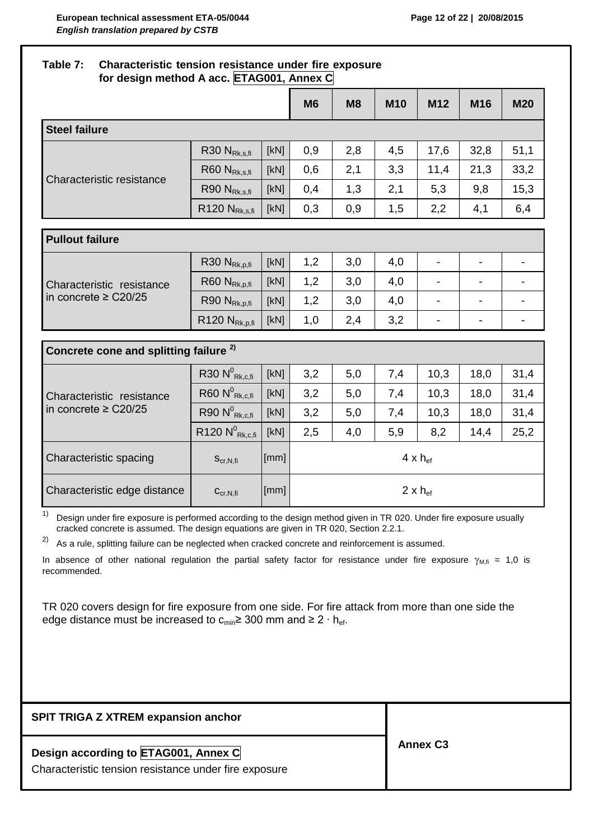# **Table 7: Characteristic tension resistance under fire exposure for design method A acc. ETAG001, Annex C M6 M8 M10 M12 M16 M20 Steel failure** Characteristic resistance R30 N<sub>Rk s fi</sub>  $|$  [kN]  $|$  0,9  $|$  2,8  $|$  4,5  $|$  17,6  $|$  32,8  $|$  51,1 R60 N<sub>Rksfi</sub>  $\lceil$  [kN]  $\rceil$  0,6  $\rceil$  2,1  $\rceil$  3,3  $\rceil$  11,4  $\rceil$  21,3  $\rceil$  33,2 R90 N<sub>Rk,s,fi</sub>  $\begin{array}{|c|c|c|c|c|c|c|c|c|} \hline \end{array}$  R90 N<sub>Rk,s,fi</sub>  $\begin{array}{|c|c|c|c|c|c|c|} \hline \end{array}$  0,4 | 1,3 | 2,1 | 5,3 | 9,8 | 15,3 R120 N<sub>Rk,s,fi</sub>  $\lceil kN \rceil$  0,3 0,9 1,5 2,2 4,1 6,4 **Pullout failure** Characteristic resistance in concrete ≥ C20/25  $R30 N_{Rk,p,fi}$   $\begin{array}{|c|c|c|c|c|c|} \hline \end{array}$   $\begin{array}{|c|c|c|c|c|} \hline \end{array}$   $\begin{array}{|c|c|c|c|c|} \hline \end{array}$   $\begin{array}{|c|c|c|c|c|} \hline \end{array}$   $\begin{array}{|c|c|c|c|c|} \hline \end{array}$   $\begin{array}{|c|c|c|c|c|} \hline \end{array}$   $\begin{array}{|c|c|c|c|c|} \hline \end{array}$   $\begin{array}{|c|$  $R60 N_{\text{Rkofi}}$   $\begin{bmatrix}$  [kN]  $\end{bmatrix}$  1,2  $\begin{bmatrix} 3,0 & 4,0 & - & \end{bmatrix}$  -  $\begin{bmatrix} - & - & \end{bmatrix}$ R90 N<sub>Rk,p,fi</sub>  $\begin{bmatrix}$  [kN] | 1,2 | 3,0 | 4,0 | - | - | - $R120 N_{Rk,p,fi}$  [kN]  $\begin{array}{|c|c|c|c|c|c|c|c|} \hline \end{array}$  ( 2,4  $\begin{array}{|c|c|c|c|c|c|} \hline \end{array}$  3,2  $\begin{array}{|c|c|c|c|c|} \hline \end{array}$  -**Concrete cone and splitting failure 2)** Characteristic resistance in concrete ≥ C20/25  $R30 N<sup>0</sup>$  $R_{\mathsf{Rk},\mathsf{c,fi}}$   $\begin{bmatrix} \mathsf{[kN]} \end{bmatrix}$   $\begin{bmatrix} 3,2 \end{bmatrix}$   $\begin{bmatrix} 5,0 \end{bmatrix}$   $\begin{bmatrix} 7,4 \end{bmatrix}$   $\begin{bmatrix} 10,3 \end{bmatrix}$   $\begin{bmatrix} 18,0 \end{bmatrix}$   $\begin{bmatrix} 31,40 \end{bmatrix}$  $R60 N<sup>0</sup>$  $R_{\mathsf{Rk},\mathsf{c,fi}}$   $\begin{bmatrix} \text{[kN]} \end{bmatrix}$   $\begin{bmatrix} 3,2 \end{bmatrix}$   $\begin{bmatrix} 5,0 \end{bmatrix}$   $\begin{bmatrix} 7,4 \end{bmatrix}$   $\begin{bmatrix} 10,3 \end{bmatrix}$   $\begin{bmatrix} 18,0 \end{bmatrix}$   $\begin{bmatrix} 31,40 \end{bmatrix}$  $R90 N<sup>0</sup>$  $R_{\mathsf{Rk},\mathsf{c,fi}}$   $\begin{bmatrix} \mathsf{K}\mathsf{N} \end{bmatrix}$   $\begin{bmatrix} 3,2 & | & 5,0 & | & 7,4 & | & 10,3 & | & 18,0 & | & 31,4 \end{bmatrix}$  $R$ 120  $N^0$  $R_{\mathsf{Rk},\mathsf{c,fi}} \, \big|\, \mathsf{[kN]} \, \big| \quad 2,5 \quad \big| \quad 4,0 \quad \big| \quad 5,9 \quad \big| \quad 8,2 \quad \big| \quad 14,4 \quad \big| \quad 25,24$ Characteristic spacing  $S_{cr,N,fi}$  [[mm] 4 x h<sub>ef</sub> Characteristic edge distance  $\begin{bmatrix} c_{cr,N,fi} & |[mm] \end{bmatrix}$  [mm] 2 x h<sub>ef</sub>

 $1)$  Design under fire exposure is performed according to the design method given in TR 020. Under fire exposure usually cracked concrete is assumed. The design equations are given in TR 020, Section 2.2.1.

2) As a rule, splitting failure can be neglected when cracked concrete and reinforcement is assumed.

In absence of other national regulation the partial safety factor for resistance under fire exposure  $\gamma_{M,fi} = 1,0$  is recommended.

TR 020 covers design for fire exposure from one side. For fire attack from more than one side the edge distance must be increased to c<sub>min</sub>≥ 300 mm and ≥ 2  $\cdot$  h<sub>ef</sub>.

| <b>SPIT TRIGA Z XTREM expansion anchor</b>                                                    |                 |
|-----------------------------------------------------------------------------------------------|-----------------|
| Design according to ETAG001, Annex C<br>Characteristic tension resistance under fire exposure | <b>Annex C3</b> |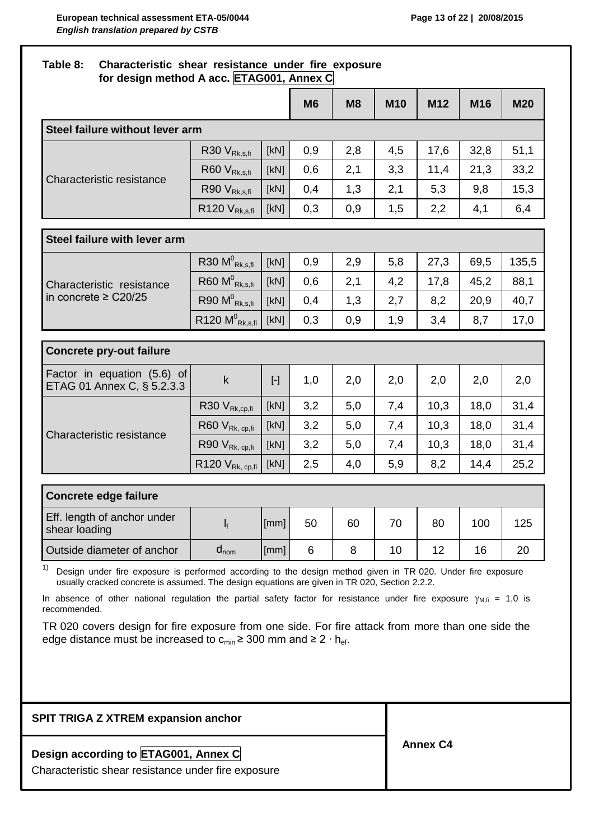# **Table 8: Characteristic shear resistance under fire exposure for design method A acc. ETAG001, Annex C M6 M8 M10 M12 M16 M20 Steel failure without lever arm** Characteristic resistance R30  $V_{Rk,s,fi}$  | [kN] | 0,9 | 2,8 | 4,5 | 17,6 | 32,8 | 51,1 R60  $V_{Rk,s,fi}$  [kN] 0,6 2,1 3,3 11,4 21,3 33,2 R90  $V_{Rk,s,fi}$  [kN] 0,4 1,3 2,1 5,3 9,8 15,3 R120  $V_{Rk,s,fi}$  [kN] 0,3 0,9 1,5 2,2 4,1 6,4 **Steel failure with lever arm** Characteristic resistance in concrete ≥ C20/25  $R30 M_{Rk,s,fi}^{0}$  $R_{\rm Rk,s,fi}$   $\begin{bmatrix} \rm{[kN]} & 0,9 & | & 2,9 & | & 5,8 & | & 27,3 & | & 69,5 & | & 135,5 \end{bmatrix}$  $R60 M_{Rk, sfi}^{0}$  $R_{\rm Rk,s,fi}$   $\begin{bmatrix} \rm{[kN]} & 0,6 & | & 2,1 & | & 4,2 & | & 17,8 & | & 45,2 & | & 88,1 \end{bmatrix}$  $R90 M_{Rk, sfi}^0$  $R_{\rm Rk,s,fi}$   $\begin{bmatrix} \rm{[kN]} & 0,4 & \rm{[}} & 1,3 & \rm{[}} & 2,7 & \rm{[}} & 8,2 & \rm{[}} & 20,9 & \rm{[}} & 40,7 & \rm{[}} \end{bmatrix}$  $R120 M^0_{Rk, s, fi}$  $R_{\rm Rk,s,fi}$   $[~\rm{kN}]$   $|$   $|$   $0,3$   $|$   $|$   $0,9$   $|$   $|$   $1,9$   $|$   $|$   $3,4$   $|$   $|$   $8,7$   $|$   $|$   $17,0$ **Concrete pry-out failure** Factor in equation (5.6) of Factor in equation (5.0) or <br>ETAG 01 Annex C, § 5.2.3.3 k [-] 1,0 2,0 2,0 2,0 2,0 2,0 2,0 Characteristic resistance R30  $V_{Rk,cp,fi}$  [kN] 3,2 | 5,0 | 7,4 | 10,3 | 18,0 | 31,4 R60  $V_{Rk, cp,fi}$  [kN] 3,2 | 5,0 | 7,4 | 10,3 | 18,0 | 31,4 R90  $V_{Rk, cp,fi}$  [kN] 3,2 | 5,0 | 7,4 | 10,3 | 18,0 | 31,4 R120  $V_{Rk, cpl, f}$  [kN]  $\begin{array}{|c|c|c|c|c|c|c|c|} \hline \end{array}$  2,5  $\begin{array}{|c|c|c|c|c|c|} \hline \end{array}$  4,0  $\begin{array}{|c|c|c|c|c|} \hline \end{array}$  5,9  $\begin{array}{|c|c|c|c|c|} \hline \end{array}$  8,2  $\begin{array}{|c|c|c|c|c|} \hline \end{array}$  14,4  $\begin{array}{|c|c|c|c|c|c|} \hline \end{array}$ **Concrete edge failure** Eff. length of anchor under  $\frac{1}{16}$  shear loading line is a line of the shear loading [mm]| 50 | 60 | 70 | 80 | 100 | 125 Outside diameter of anchor  $\begin{vmatrix} d_{\text{nom}} & |[mm] 6 & 8 & 10 & 12 \end{vmatrix}$  16  $\begin{vmatrix} 20 & 20 & 16 \end{vmatrix}$

 $1)$  Design under fire exposure is performed according to the design method given in TR 020. Under fire exposure usually cracked concrete is assumed. The design equations are given in TR 020, Section 2.2.2.

In absence of other national regulation the partial safety factor for resistance under fire exposure  $\gamma_{M,fi} = 1,0$  is recommended.

TR 020 covers design for fire exposure from one side. For fire attack from more than one side the edge distance must be increased to  $c_{min} \geq 300$  mm and ≥ 2 ⋅ h<sub>ef</sub>.

| <b>SPIT TRIGA Z XTREM expansion anchor</b>                                                  |                 |
|---------------------------------------------------------------------------------------------|-----------------|
| Design according to ETAG001, Annex C<br>Characteristic shear resistance under fire exposure | <b>Annex C4</b> |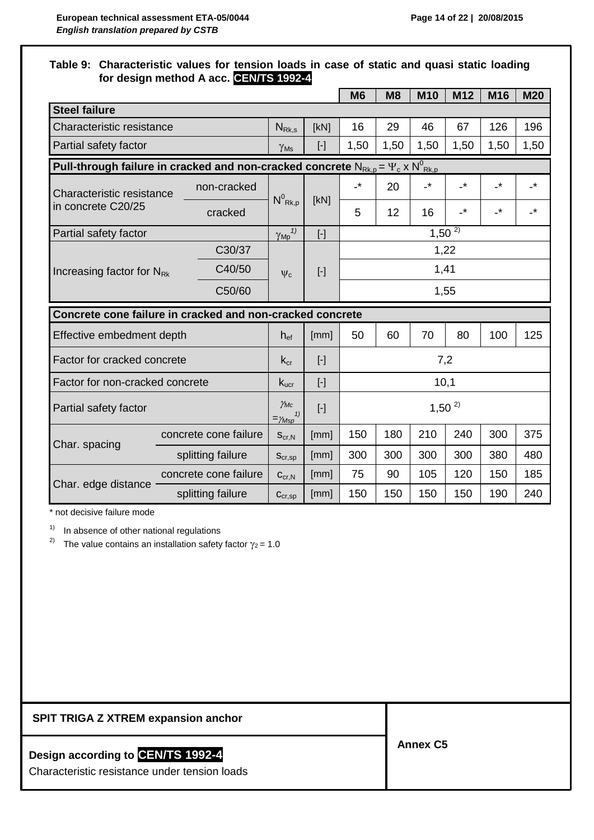### **Table 9: Characteristic values for tension loads in case of static and quasi static loading for design method A acc. CEN/TS 1992-4**

|                                                                                                |  |                                            |                             |            | M <sub>6</sub>  | M8   | <b>M10</b>                       | M <sub>12</sub> | M16                        | <b>M20</b>      |
|------------------------------------------------------------------------------------------------|--|--------------------------------------------|-----------------------------|------------|-----------------|------|----------------------------------|-----------------|----------------------------|-----------------|
| <b>Steel failure</b>                                                                           |  |                                            |                             |            |                 |      |                                  |                 |                            |                 |
| Characteristic resistance                                                                      |  |                                            | $N_{Rk,s}$                  | [kN]       | 16              | 29   | 46                               | 67              | 126                        | 196             |
| Partial safety factor                                                                          |  |                                            | $\gamma_{\rm Ms}$           | $[\cdot]$  | 1,50            | 1,50 | 1,50                             | 1,50            | 1,50                       | 1,50            |
| Pull-through failure in cracked and non-cracked concrete $N_{Rk,p} = \Psi_c \times N^0_{Rk,p}$ |  |                                            |                             |            |                 |      |                                  |                 |                            |                 |
| Characteristic resistance                                                                      |  | non-cracked                                |                             | [kN]       | $\cdot^{\star}$ | 20   | $\overline{\phantom{a}}^{\star}$ | $\cdot^{\star}$ | $\overline{\phantom{a}}^*$ | $\cdot^{\star}$ |
| in concrete C20/25                                                                             |  | cracked                                    | $N^0_{\, Rk, p}$            |            | 5               | 12   | 16                               | $\cdot^*$       | $\cdot^*$                  | $\cdot$         |
| Partial safety factor                                                                          |  |                                            | $\gamma_{Mp}$ <sup>1)</sup> | $[\cdot]$  |                 |      |                                  | $1,50^{2}$      |                            |                 |
|                                                                                                |  | C30/37                                     |                             |            |                 |      |                                  | 1,22            |                            |                 |
| Increasing factor for N <sub>Rk</sub>                                                          |  | C40/50                                     | $\Psi_c$                    | $[\cdot]$  | 1,41            |      |                                  |                 |                            |                 |
|                                                                                                |  | C50/60                                     |                             |            |                 |      |                                  | 1,55            |                            |                 |
| Concrete cone failure in cracked and non-cracked concrete                                      |  |                                            |                             |            |                 |      |                                  |                 |                            |                 |
| Effective embedment depth                                                                      |  |                                            | $h_{\text{ef}}$             | [mm]       | 50              | 60   | 70                               | 80              | 100                        | 125             |
| Factor for cracked concrete                                                                    |  |                                            | $k_{cr}$                    | $[\cdot]$  | 7,2             |      |                                  |                 |                            |                 |
| Factor for non-cracked concrete                                                                |  |                                            | $k_{\text{ucr}}$            | $[\cdot]$  | 10,1            |      |                                  |                 |                            |                 |
| Partial safety factor                                                                          |  | $\gamma_{MC}$<br>1)<br>$=\!\!\gamma_{Msp}$ | $[\cdot]$                   | $1,50^{2}$ |                 |      |                                  |                 |                            |                 |
| Char. spacing                                                                                  |  | concrete cone failure                      | $S_{\text{cr,N}}$           | [mm]       | 150             | 180  | 210                              | 240             | 300                        | 375             |
|                                                                                                |  | splitting failure                          | $S_{cr,sp}$                 | [mm]       | 300             | 300  | 300                              | 300             | 380                        | 480             |
| Char. edge distance                                                                            |  | concrete cone failure                      | $C_{\text{cr},N}$           | [mm]       | 75              | 90   | 105                              | 120             | 150                        | 185             |
|                                                                                                |  | splitting failure                          | $C_{cr,sp}$                 | [mm]       | 150             | 150  | 150                              | 150             | 190                        | 240             |

\* not decisive failure mode

 $1)$  In absence of other national regulations

<sup>2)</sup> The value contains an installation safety factor  $\gamma_2$  = 1.0

# **SPIT TRIGA Z XTREM expansion anchor**

# **Design according to CEN/TS 1992-4**

Characteristic resistance under tension loads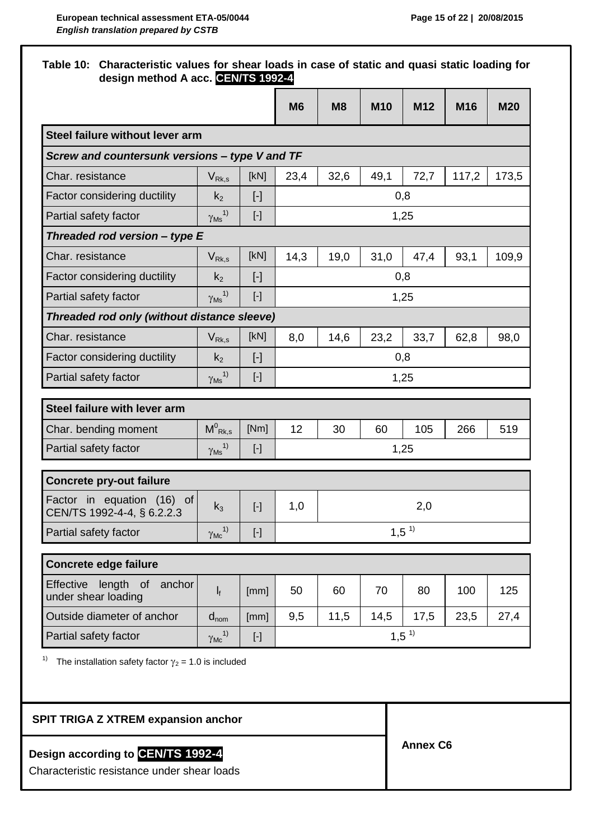|                                                                |                                      |                                                                                                                                                                                                                                                                                                                                                                                                                                                                                                                                                                                                                                                                                                                                                                                                                                                                                          | <b>M6</b> | M8   | <b>M10</b> | M <sub>12</sub> | M <sub>16</sub> | <b>M20</b> |
|----------------------------------------------------------------|--------------------------------------|------------------------------------------------------------------------------------------------------------------------------------------------------------------------------------------------------------------------------------------------------------------------------------------------------------------------------------------------------------------------------------------------------------------------------------------------------------------------------------------------------------------------------------------------------------------------------------------------------------------------------------------------------------------------------------------------------------------------------------------------------------------------------------------------------------------------------------------------------------------------------------------|-----------|------|------------|-----------------|-----------------|------------|
| Steel failure without lever arm                                |                                      |                                                                                                                                                                                                                                                                                                                                                                                                                                                                                                                                                                                                                                                                                                                                                                                                                                                                                          |           |      |            |                 |                 |            |
| Screw and countersunk versions - type V and TF                 |                                      |                                                                                                                                                                                                                                                                                                                                                                                                                                                                                                                                                                                                                                                                                                                                                                                                                                                                                          |           |      |            |                 |                 |            |
| Char. resistance                                               | $V_{\rm Rk,s}$                       | [kN]                                                                                                                                                                                                                                                                                                                                                                                                                                                                                                                                                                                                                                                                                                                                                                                                                                                                                     | 23,4      | 32,6 | 49,1       | 72,7            | 117,2           | 173,5      |
| Factor considering ductility                                   | k <sub>2</sub>                       | $[\cdot]$                                                                                                                                                                                                                                                                                                                                                                                                                                                                                                                                                                                                                                                                                                                                                                                                                                                                                |           |      |            | 0,8             |                 |            |
| Partial safety factor                                          | $\gamma$ <sub>Ms</sub> <sup>1)</sup> | $[\cdot]$                                                                                                                                                                                                                                                                                                                                                                                                                                                                                                                                                                                                                                                                                                                                                                                                                                                                                |           |      |            | 1,25            |                 |            |
| Threaded rod version - type E                                  |                                      |                                                                                                                                                                                                                                                                                                                                                                                                                                                                                                                                                                                                                                                                                                                                                                                                                                                                                          |           |      |            |                 |                 |            |
| Char. resistance                                               | $V_{Rk,s}$                           | [kN]                                                                                                                                                                                                                                                                                                                                                                                                                                                                                                                                                                                                                                                                                                                                                                                                                                                                                     | 14,3      | 19,0 | 31,0       | 47,4            | 93,1            | 109,9      |
| Factor considering ductility                                   | k <sub>2</sub>                       | $[\cdot]$                                                                                                                                                                                                                                                                                                                                                                                                                                                                                                                                                                                                                                                                                                                                                                                                                                                                                |           |      |            | 0,8             |                 |            |
| Partial safety factor                                          | 1)<br>$\gamma_{\mathsf{Ms}}$         | $[\cdot]$                                                                                                                                                                                                                                                                                                                                                                                                                                                                                                                                                                                                                                                                                                                                                                                                                                                                                |           |      |            | 1,25            |                 |            |
| Threaded rod only (without distance sleeve)                    |                                      |                                                                                                                                                                                                                                                                                                                                                                                                                                                                                                                                                                                                                                                                                                                                                                                                                                                                                          |           |      |            |                 |                 |            |
| Char. resistance                                               | $V_{Rk,s}$                           | [kN]                                                                                                                                                                                                                                                                                                                                                                                                                                                                                                                                                                                                                                                                                                                                                                                                                                                                                     | 8,0       | 14,6 | 23,2       | 33,7            | 62,8            | 98,0       |
| Factor considering ductility                                   | $k_2$                                | $[\cdot]$                                                                                                                                                                                                                                                                                                                                                                                                                                                                                                                                                                                                                                                                                                                                                                                                                                                                                |           |      |            | 0,8             |                 |            |
| Partial safety factor                                          | 1)<br>$\gamma_{\mathsf{Ms}}$         | $[\cdot]$                                                                                                                                                                                                                                                                                                                                                                                                                                                                                                                                                                                                                                                                                                                                                                                                                                                                                |           |      |            | 1,25            |                 |            |
| Steel failure with lever arm                                   |                                      |                                                                                                                                                                                                                                                                                                                                                                                                                                                                                                                                                                                                                                                                                                                                                                                                                                                                                          |           |      |            |                 |                 |            |
| Char. bending moment                                           | $M^0_{\ Rk,s}$                       | [Nm]                                                                                                                                                                                                                                                                                                                                                                                                                                                                                                                                                                                                                                                                                                                                                                                                                                                                                     | 12        | 30   | 60         | 105             | 266             | 519        |
| Partial safety factor                                          | $\gamma_{\rm Ms}$ <sup>1)</sup>      | $[\cdot]$                                                                                                                                                                                                                                                                                                                                                                                                                                                                                                                                                                                                                                                                                                                                                                                                                                                                                |           |      |            | 1,25            |                 |            |
| <b>Concrete pry-out failure</b>                                |                                      |                                                                                                                                                                                                                                                                                                                                                                                                                                                                                                                                                                                                                                                                                                                                                                                                                                                                                          |           |      |            |                 |                 |            |
| Factor in equation (16) of<br>CEN/TS 1992-4-4, § 6.2.2.3       | $k_3$                                | $[\cdot]$                                                                                                                                                                                                                                                                                                                                                                                                                                                                                                                                                                                                                                                                                                                                                                                                                                                                                | 1,0       |      |            | 2,0             |                 |            |
| Partial safety factor                                          | $\gamma_{\text{Mc}}^{1)}$            | $[\cdot]$                                                                                                                                                                                                                                                                                                                                                                                                                                                                                                                                                                                                                                                                                                                                                                                                                                                                                |           |      |            | $1,5^{1}$       |                 |            |
| <b>Concrete edge failure</b>                                   |                                      |                                                                                                                                                                                                                                                                                                                                                                                                                                                                                                                                                                                                                                                                                                                                                                                                                                                                                          |           |      |            |                 |                 |            |
| <b>Effective</b><br>length of<br>anchor<br>under shear loading | $\mathbf{l}_{\rm f}$                 | [mm]                                                                                                                                                                                                                                                                                                                                                                                                                                                                                                                                                                                                                                                                                                                                                                                                                                                                                     | 50        | 60   | 70         | 80              | 100             | 125        |
| Outside diameter of anchor                                     | $d_{nom}$                            | [mm]                                                                                                                                                                                                                                                                                                                                                                                                                                                                                                                                                                                                                                                                                                                                                                                                                                                                                     | 9,5       | 11,5 | 14,5       | 17,5            | 23,5            | 27,4       |
|                                                                | $\gamma_{MC}$ <sup>1)</sup>          | $[\cdot] % \centering \includegraphics[width=0.9\textwidth]{images/TrDiM-Architecture.png} % \caption{The first two different values of $S$ and $S$ are shown in the left, the first two different values of $S$ and $S$ are shown in the right, and the second two different values of $S$ are shown in the right, and the second two different values of $S$ are shown in the right, and the second two different values of $S$ are shown in the right, and the third two different values of $S$ are shown in the right, and the third two different values of $S$ are shown in the right, and the third two different values of $S$ are shown in the right, and the third two different values of $S$ are shown in the right, and the third two different values of $S$ are shown in the right, and the third two different values of $S$ are shown in the right, and the third two$ | $1,5^{1}$ |      |            |                 |                 |            |
| Partial safety factor                                          |                                      |                                                                                                                                                                                                                                                                                                                                                                                                                                                                                                                                                                                                                                                                                                                                                                                                                                                                                          |           |      |            |                 |                 |            |

# **Design according to CEN/TS 1992-4**

Characteristic resistance under shear loads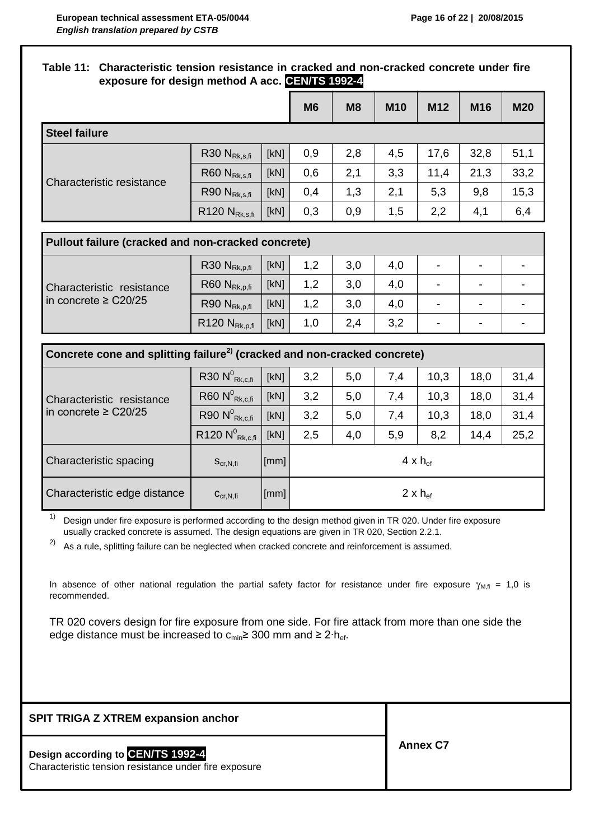#### **Table 11: Characteristic tension resistance in cracked and non-cracked concrete under fire exposure for design method A acc. CEN/TS 1992-4**

|                                  |                     |      | M <sub>6</sub> | M <sub>8</sub> | <b>M10</b> | M12  | M16  | <b>M20</b> |
|----------------------------------|---------------------|------|----------------|----------------|------------|------|------|------------|
| <b>Steel failure</b>             |                     |      |                |                |            |      |      |            |
| <b>Characteristic resistance</b> | $R30$ $N_{Rk,s,fi}$ | [KN] | 0,9            | 2,8            | 4,5        | 17,6 | 32,8 | 51,1       |
|                                  | $R60$ $N_{Rk,s,fi}$ | [kN] | 0,6            | 2,1            | 3,3        | 11,4 | 21,3 | 33,2       |
|                                  | $R90 N_{Rk,s,fi}$   | [KN] | 0,4            | 1,3            | 2,1        | 5,3  | 9,8  | 15,3       |
|                                  | $R120 N_{Rk,s,fi}$  | [kN] | 0,3            | 0,9            | 1,5        | 2,2  | 4,1  | 6,4        |

| Characteristic resistance<br>in concrete $\geq$ C20/25 | $R30 N_{Rk,p,fi}$               | [kN] | 1,2 | 3,0 | 4,0 | - | - |  |
|--------------------------------------------------------|---------------------------------|------|-----|-----|-----|---|---|--|
|                                                        | $R60$ N <sub>Rk,p,fi</sub>      | [kN] | 1,2 | 3,0 | 4,0 | - | - |  |
|                                                        | R90 $N_{\text{Rk},p,\text{fi}}$ | [kN] | 1,2 | 3,0 | 4,0 | - | - |  |
|                                                        | $R120 N_{Rk,p,fi}$              | [kN] | 1,0 | 2,4 | 3,2 | - | - |  |

| Concrete cone and splitting failure <sup>2)</sup> (cracked and non-cracked concrete) |                               |                    |                          |     |     |      |      |      |  |  |  |
|--------------------------------------------------------------------------------------|-------------------------------|--------------------|--------------------------|-----|-----|------|------|------|--|--|--|
| Characteristic resistance<br>in concrete $\geq$ C20/25                               | R30 $N^0$ <sub>Rk,c,fi</sub>  | [kN]               | 3,2                      | 5,0 | 7,4 | 10,3 | 18,0 | 31,4 |  |  |  |
|                                                                                      | $R60 N^0$ <sub>Rk,c,fi</sub>  | [kN]               | 3,2                      | 5,0 | 7,4 | 10,3 | 18,0 | 31,4 |  |  |  |
|                                                                                      | $R90 N^0_{Rk,c,fi}$           | [kN]               | 3,2                      | 5,0 | 7,4 | 10,3 | 18,0 | 31,4 |  |  |  |
|                                                                                      | R120 $N^0$ <sub>Rk,c,fi</sub> | [KN]               | 2,5                      | 4,0 | 5,9 | 8,2  | 14,4 | 25,2 |  |  |  |
| Characteristic spacing                                                               | $S_{\text{cr},\text{N,fi}}$   | [mm]               | $4 \times h_{\text{ef}}$ |     |     |      |      |      |  |  |  |
| Characteristic edge distance                                                         | $C_{\text{cr},\text{N,fi}}$   | $\lceil mm \rceil$ | $2 \times h_{\text{ef}}$ |     |     |      |      |      |  |  |  |

 $1)$  Design under fire exposure is performed according to the design method given in TR 020. Under fire exposure usually cracked concrete is assumed. The design equations are given in TR 020, Section 2.2.1.

2) As a rule, splitting failure can be neglected when cracked concrete and reinforcement is assumed.

In absence of other national regulation the partial safety factor for resistance under fire exposure  $\gamma_{M,fi} = 1,0$  is recommended.

TR 020 covers design for fire exposure from one side. For fire attack from more than one side the edge distance must be increased to c<sub>min</sub>≥ 300 mm and ≥ 2⋅h<sub>ef</sub>.

| <b>SPIT TRIGA Z XTREM expansion anchor</b>                                                 |                 |
|--------------------------------------------------------------------------------------------|-----------------|
| Design according to CEN/TS 1992-4<br>Characteristic tension resistance under fire exposure | <b>Annex C7</b> |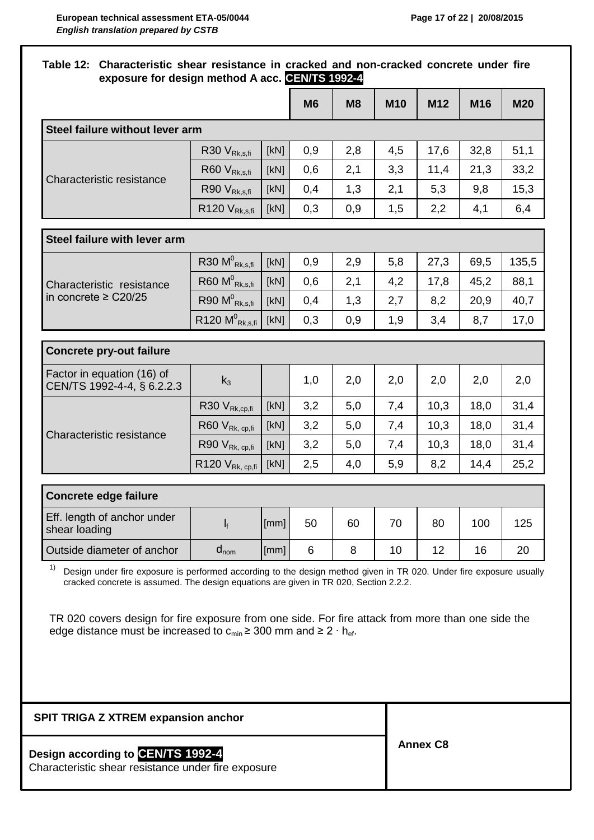## **Table 12: Characteristic shear resistance in cracked and non-cracked concrete under fire exposure for design method A acc. CEN/TS 1992-4**

|                                                          |                               |      | <b>M6</b> | M8  | <b>M10</b> | M <sub>12</sub> | M16  | <b>M20</b> |
|----------------------------------------------------------|-------------------------------|------|-----------|-----|------------|-----------------|------|------------|
| Steel failure without lever arm                          |                               |      |           |     |            |                 |      |            |
|                                                          | R30 V <sub>Rk,s,fi</sub>      | [KN] | 0,9       | 2,8 | 4,5        | 17,6            | 32,8 | 51,1       |
| Characteristic resistance                                | R60 V <sub>Rk,s,fi</sub>      | [KN] | 0,6       | 2,1 | 3,3        | 11,4            | 21,3 | 33,2       |
|                                                          | R90 V <sub>Rk,s,fi</sub>      | [kN] | 0,4       | 1,3 | 2,1        | 5,3             | 9,8  | 15,3       |
|                                                          | $R120 V_{Rk,s,fi}$            | [kN] | 0,3       | 0,9 | 1,5        | 2,2             | 4,1  | 6,4        |
| Steel failure with lever arm                             |                               |      |           |     |            |                 |      |            |
|                                                          | R30 $M^0$ <sub>Rk.s.fi</sub>  | [kN] | 0,9       | 2,9 | 5,8        | 27,3            | 69,5 | 135,5      |
| Characteristic resistance<br>in concrete $\geq$ C20/25   | $R60 M^0$ <sub>Rk,s,fi</sub>  | [KN] | 0,6       | 2,1 | 4,2        | 17,8            | 45,2 | 88,1       |
|                                                          | R90 $M^0$ <sub>Rk,s,fi</sub>  | [KN] | 0,4       | 1,3 | 2,7        | 8,2             | 20,9 | 40,7       |
|                                                          | $R120 M^0$ <sub>Rk,s,fi</sub> | [KN] | 0,3       | 0,9 | 1,9        | 3,4             | 8,7  | 17,0       |
| <b>Concrete pry-out failure</b>                          |                               |      |           |     |            |                 |      |            |
| Factor in equation (16) of<br>CEN/TS 1992-4-4, § 6.2.2.3 | $k_3$                         |      | 1,0       | 2,0 | 2,0        | 2,0             | 2,0  | 2,0        |
|                                                          | R30 V <sub>Rk,cp,fi</sub>     | [KN] | 3,2       | 5,0 | 7,4        | 10,3            | 18,0 | 31,4       |
| Characteristic resistance                                | R60 V <sub>Rk, cp,fi</sub>    | [KN] | 3,2       | 5,0 | 7,4        | 10,3            | 18,0 | 31,4       |
|                                                          | R90 V <sub>Rk, cp,fi</sub>    | [KN] | 3,2       | 5,0 | 7,4        | 10,3            | 18,0 | 31,4       |
|                                                          | R120 V <sub>Rk, cp,fi</sub>   | [kN] | 2,5       | 4,0 | 5,9        | 8,2             | 14,4 | 25,2       |
| <b>Concrete edge failure</b>                             |                               |      |           |     |            |                 |      |            |
| Eff. length of anchor under<br>shear loading             | $\mathsf{l}_{\mathsf{f}}$     | [mm] | 50        | 60  | 70         | 80              | 100  | 125        |
| Outside diameter of anchor                               | $d_{nom}$                     | [mm] | 6         | 8   | 10         | 12              | 16   | 20         |

 $1)$  Design under fire exposure is performed according to the design method given in TR 020. Under fire exposure usually cracked concrete is assumed. The design equations are given in TR 020, Section 2.2.2.

TR 020 covers design for fire exposure from one side. For fire attack from more than one side the edge distance must be increased to  $c_{min} \geq 300$  mm and ≥ 2 ⋅ h<sub>ef</sub>.

| <b>SPIT TRIGA Z XTREM expansion anchor</b>                                               |                 |
|------------------------------------------------------------------------------------------|-----------------|
| Design according to CEN/TS 1992-4<br>Characteristic shear resistance under fire exposure | <b>Annex C8</b> |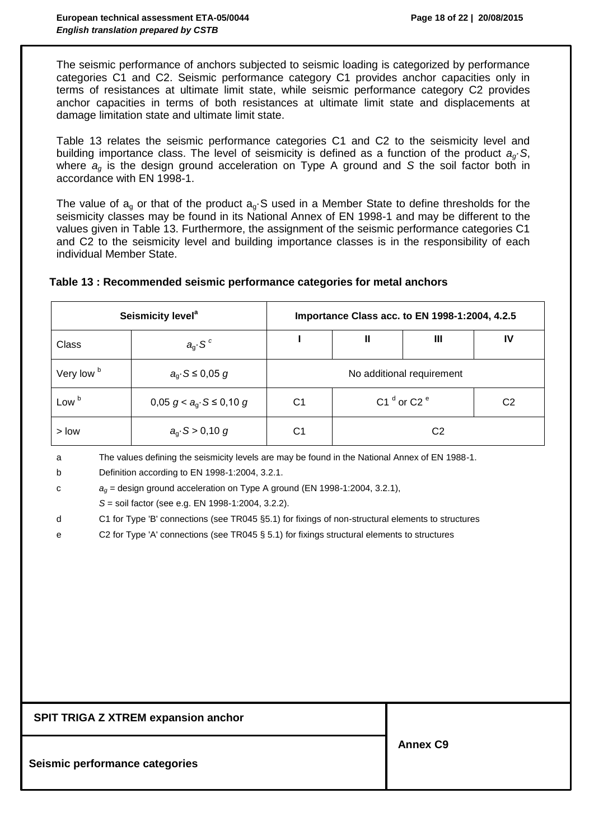The seismic performance of anchors subjected to seismic loading is categorized by performance categories C1 and C2. Seismic performance category C1 provides anchor capacities only in terms of resistances at ultimate limit state, while seismic performance category C2 provides anchor capacities in terms of both resistances at ultimate limit state and displacements at damage limitation state and ultimate limit state.

Table 13 relates the seismic performance categories C1 and C2 to the seismicity level and building importance class. The level of seismicity is defined as a function of the product  $a_{\alpha}$ *S*, where  $a_{\alpha}$  is the design ground acceleration on Type A ground and *S* the soil factor both in accordance with EN 1998-1.

The value of  $a_q$  or that of the product  $a_q$ . Sused in a Member State to define thresholds for the seismicity classes may be found in its National Annex of EN 1998-1 and may be different to the values given in Table 13. Furthermore, the assignment of the seismic performance categories C1 and C2 to the seismicity level and building importance classes is in the responsibility of each individual Member State.

|                       | Seismicity level <sup>a</sup> | Importance Class acc. to EN 1998-1:2004, 4.2.5 |                  |  |    |  |  |  |
|-----------------------|-------------------------------|------------------------------------------------|------------------|--|----|--|--|--|
| Class                 | $a_{\rm q}$ . S <sup>c</sup>  | Ш<br>IV<br>Ш                                   |                  |  |    |  |  |  |
| Very low <sup>b</sup> | $a_q$ S $\leq$ 0,05 g         | No additional requirement                      |                  |  |    |  |  |  |
| Low <sup>b</sup>      | 0,05 $g < a_0$ S ≤ 0,10 g     | C1                                             | C1 $d$ or C2 $e$ |  | C2 |  |  |  |
| $>$ low               | $a_q$ S > 0,10 g              | C1                                             | C <sub>2</sub>   |  |    |  |  |  |

#### **Table 13 : Recommended seismic performance categories for metal anchors**

a The values defining the seismicity levels are may be found in the National Annex of EN 1988-1.

b Definition according to EN 1998-1:2004, 3.2.1.

```
c ag = design ground acceleration on Type A ground (EN 1998-1:2004, 3.2.1),
```
*S* = soil factor (see e.g. EN 1998-1:2004, 3.2.2).

```
d C1 for Type 'B' connections (see TR045 §5.1) for fixings of non-structural elements to structures
```
e C2 for Type 'A' connections (see TR045 § 5.1) for fixings structural elements to structures

| <b>SPIT TRIGA Z XTREM expansion anchor</b> |                 |
|--------------------------------------------|-----------------|
| Seismic performance categories             | <b>Annex C9</b> |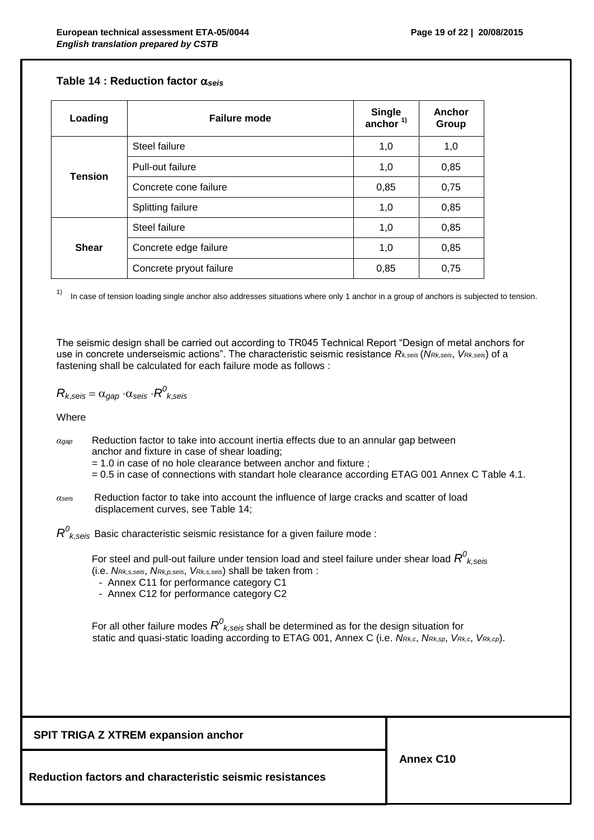#### **Table 14 : Reduction factor**  $\alpha_{\text{seis}}$

| Loading        | Failure mode            | Single<br>anchor $1$ | Anchor<br>Group |
|----------------|-------------------------|----------------------|-----------------|
|                | Steel failure           | 1,0                  | 1,0             |
|                | Pull-out failure        | 1,0                  | 0,85            |
| <b>Tension</b> | Concrete cone failure   | 0,85                 | 0,75            |
|                | Splitting failure       | 1,0                  | 0,85            |
|                | Steel failure           | 1,0                  | 0,85            |
| <b>Shear</b>   | Concrete edge failure   | 1,0                  | 0,85            |
|                | Concrete pryout failure | 0,85                 | 0,75            |

 $1)$  In case of tension loading single anchor also addresses situations where only 1 anchor in a group of anchors is subjected to tension.

The seismic design shall be carried out according to TR045 Technical Report "Design of metal anchors for use in concrete underseismic actions". The characteristic seismic resistance *Rk,seis* (*NRk,seis*, *VRk,seis*) of a fastening shall be calculated for each failure mode as follows :

$$
R_{k,seis} = \alpha_{gap} \cdot \alpha_{seis} \cdot R^0_{k,seis}
$$

Where

- *αgap* Reduction factor to take into account inertia effects due to an annular gap between anchor and fixture in case of shear loading;
	- = 1.0 in case of no hole clearance between anchor and fixture ;
	- = 0.5 in case of connections with standart hole clearance according ETAG 001 Annex C Table 4.1.
- *αseis* Reduction factor to take into account the influence of large cracks and scatter of load displacement curves, see Table 14;

 $R^{\rm 0}_{\ \ k, \rm seis}$  Basic characteristic seismic resistance for a given failure mode :

For steel and pull-out failure under tension load and steel failure under shear load  $R^0_{\;\;k,\mathrm{seis}}$ 

- (i.e. *NRk,s,seis*, *NRk,p,seis*, *VRk,s,seis*) shall be taken from :
	- Annex C11 for performance category C1
	- Annex C12 for performance category C2

For all other failure modes  $R^0_{\ k,seis}$  shall be determined as for the design situation for static and quasi-static loading according to ETAG 001, Annex C (i.e. *NRk,c*, *NRk,sp*, *VRk,c*, *VRk,cp*).

**SPIT TRIGA Z XTREM expansion anchor**

**Reduction factors and characteristic seismic resistances**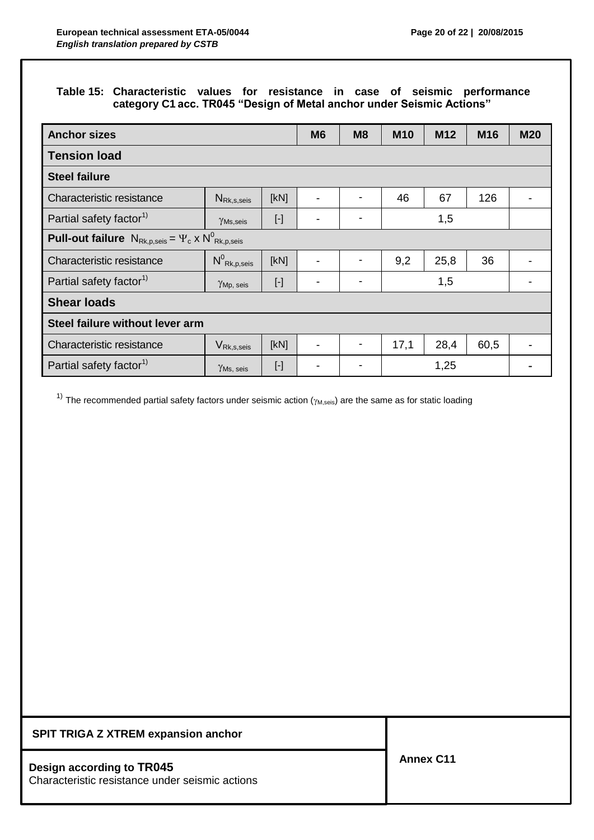# **Table 15: Characteristic values for resistance in case of seismic performance category C1 acc. TR045 "Design of Metal anchor under Seismic Actions"**

| <b>Anchor sizes</b>                                                                                 |                                            |           | M <sub>6</sub> | M <sub>8</sub>           | <b>M10</b> | M <sub>12</sub> | M <sub>16</sub> | <b>M20</b> |  |
|-----------------------------------------------------------------------------------------------------|--------------------------------------------|-----------|----------------|--------------------------|------------|-----------------|-----------------|------------|--|
| <b>Tension load</b>                                                                                 |                                            |           |                |                          |            |                 |                 |            |  |
| <b>Steel failure</b>                                                                                |                                            |           |                |                          |            |                 |                 |            |  |
| Characteristic resistance                                                                           | $N_{\mathsf{Rk},\mathsf{s},\mathsf{seis}}$ | [kN]      |                | $\blacksquare$           | 46         | 67              | 126             |            |  |
| Partial safety factor <sup>1)</sup>                                                                 | $\gamma$ Ms,seis                           | $[\cdot]$ |                | -                        |            | 1,5             |                 |            |  |
| <b>Pull-out failure</b> $N_{\text{Rk},p,\text{seis}} = \Psi_c \times N_{\text{Rk},p,\text{seis}}^0$ |                                            |           |                |                          |            |                 |                 |            |  |
| Characteristic resistance                                                                           | $N^0$ Rk,p,seis                            | [kN]      |                | $\blacksquare$           | 9,2        | 25,8            | 36              |            |  |
| Partial safety factor <sup>1)</sup>                                                                 | $\gamma_{\mathrm{Mp, \; seis}}$            | $[\cdot]$ |                | $\overline{\phantom{0}}$ |            |                 |                 |            |  |
| <b>Shear loads</b>                                                                                  |                                            |           |                |                          |            |                 |                 |            |  |
| Steel failure without lever arm                                                                     |                                            |           |                |                          |            |                 |                 |            |  |
| Characteristic resistance                                                                           | $V_{\mathsf{Rk},\mathsf{s},\mathsf{seis}}$ | [kN]      |                |                          | 17,1       | 28,4            | 60,5            |            |  |
| Partial safety factor <sup>1)</sup>                                                                 | $\gamma$ Ms, seis                          | $[\cdot]$ |                |                          |            | 1,25            |                 |            |  |

<sup>1)</sup> The recommended partial safety factors under seismic action  $(\gamma_{M,seis})$  are the same as for static loading

#### **SPIT TRIGA Z XTREM expansion anchor**

## **Design according to TR045**

Characteristic resistance under seismic actions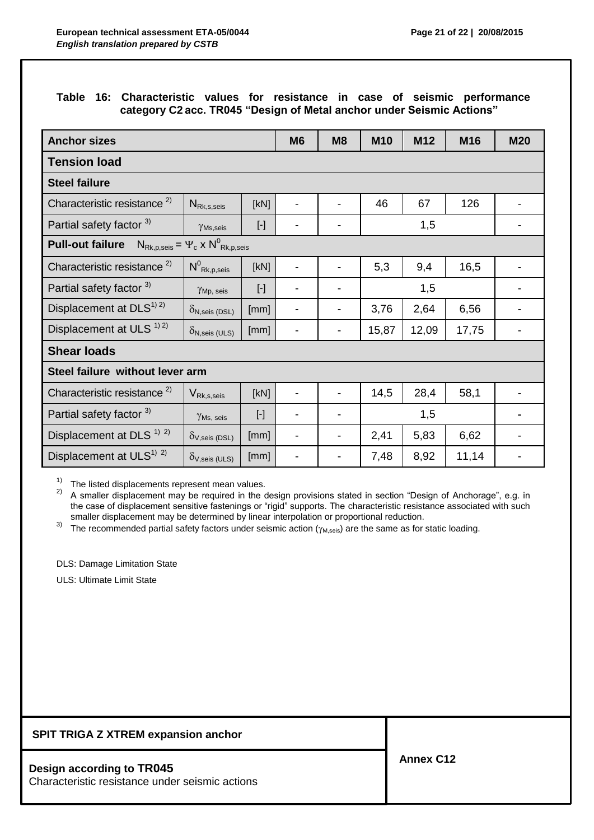# **Table 16: Characteristic values for resistance in case of seismic performance category C2 acc. TR045 "Design of Metal anchor under Seismic Actions"**

| <b>Anchor sizes</b>                             |                                                                             |                                                                                                                                                                                                                                                                                                                                                                                                                                                                                                                                                                                         | M <sub>6</sub> | M <sub>8</sub> | <b>M10</b> | M12   | M16   | <b>M20</b> |
|-------------------------------------------------|-----------------------------------------------------------------------------|-----------------------------------------------------------------------------------------------------------------------------------------------------------------------------------------------------------------------------------------------------------------------------------------------------------------------------------------------------------------------------------------------------------------------------------------------------------------------------------------------------------------------------------------------------------------------------------------|----------------|----------------|------------|-------|-------|------------|
| <b>Tension load</b>                             |                                                                             |                                                                                                                                                                                                                                                                                                                                                                                                                                                                                                                                                                                         |                |                |            |       |       |            |
| <b>Steel failure</b>                            |                                                                             |                                                                                                                                                                                                                                                                                                                                                                                                                                                                                                                                                                                         |                |                |            |       |       |            |
| Characteristic resistance <sup>2)</sup>         | $N_{\rm Rk, s, seis}$                                                       | [kN]                                                                                                                                                                                                                                                                                                                                                                                                                                                                                                                                                                                    |                |                | 46         | 67    | 126   |            |
| Partial safety factor 3)                        | $\gamma_{\rm Ms, seis}$                                                     | $[\cdot] % \centering \includegraphics[width=0.9\columnwidth]{figures/fig_10.pdf} \caption{The graph $\mathcal{N}_1$ is a function of the number of~\textit{N}_1$-error of the number of~\textit{N}_2$-error of the number of~\textit{N}_1$-error of the number of~\textit{N}_2$-error of the number of~\textit{N}_1$-error of the number of~\textit{N}_2$-error of the number of~\textit{N}_1$-error of the number of~\textit{N}_2$-error of the number of~\textit{N}_1$-error of the number of~\textit{N}_2$-error of the number of~\textit{N}_1$-error of the number of~\textit{N}_$ |                |                |            | 1,5   |       |            |
| <b>Pull-out failure</b>                         | $N_{\text{Rk},p,\text{seis}} = \Psi_c \times N_{\text{Rk},p,\text{seis}}^0$ |                                                                                                                                                                                                                                                                                                                                                                                                                                                                                                                                                                                         |                |                |            |       |       |            |
| Characteristic resistance <sup>2)</sup>         | $N^0$ Rk,p,seis                                                             | [kN]                                                                                                                                                                                                                                                                                                                                                                                                                                                                                                                                                                                    |                |                | 5,3        | 9,4   | 16,5  |            |
| Partial safety factor 3)                        | YMp, seis                                                                   | $[\cdot] % \centering \includegraphics[width=0.9\columnwidth]{figures/fig_10.pdf} \caption{The graph $\mathcal{N}_1$ is a function of the number of~\textit{N}_1$-error of the number of~\textit{N}_2$-error of the number of~\textit{N}_1$-error of the number of~\textit{N}_2$-error of the number of~\textit{N}_1$-error of the number of~\textit{N}_2$-error of the number of~\textit{N}_1$-error of the number of~\textit{N}_2$-error of the number of~\textit{N}_1$-error of the number of~\textit{N}_2$-error of the number of~\textit{N}_1$-error of the number of~\textit{N}_$ |                |                | 1,5        |       |       |            |
| Displacement at DLS <sup>1) 2)</sup>            | $\delta$ N, seis (DSL)                                                      | [mm]                                                                                                                                                                                                                                                                                                                                                                                                                                                                                                                                                                                    |                |                | 3,76       | 2,64  | 6,56  |            |
| Displacement at ULS <sup>1) 2)</sup>            | $\delta_{\text{N,seis (ULS)}}$                                              | [mm]                                                                                                                                                                                                                                                                                                                                                                                                                                                                                                                                                                                    |                |                | 15,87      | 12,09 | 17,75 |            |
| <b>Shear loads</b>                              |                                                                             |                                                                                                                                                                                                                                                                                                                                                                                                                                                                                                                                                                                         |                |                |            |       |       |            |
| Steel failure without lever arm                 |                                                                             |                                                                                                                                                                                                                                                                                                                                                                                                                                                                                                                                                                                         |                |                |            |       |       |            |
| Characteristic resistance <sup>2)</sup>         | $V_{\mathsf{Rk},\mathsf{s},\mathsf{seis}}$                                  | [kN]                                                                                                                                                                                                                                                                                                                                                                                                                                                                                                                                                                                    |                |                | 14,5       | 28,4  | 58,1  |            |
| Partial safety factor 3)                        | $\gamma$ Ms, seis                                                           | $[\cdot]$                                                                                                                                                                                                                                                                                                                                                                                                                                                                                                                                                                               |                |                |            | 1,5   |       |            |
| Displacement at DLS <sup>1)</sup> <sup>2)</sup> | $O_{V,Seis}$ (DSL)                                                          | [mm]                                                                                                                                                                                                                                                                                                                                                                                                                                                                                                                                                                                    |                |                | 2,41       | 5,83  | 6,62  |            |
| Displacement at ULS <sup>1)</sup> <sup>2)</sup> | $\delta_{V,seis}$ (ULS)                                                     | [mm]                                                                                                                                                                                                                                                                                                                                                                                                                                                                                                                                                                                    |                |                | 7,48       | 8,92  | 11,14 |            |

 $1)$  The listed displacements represent mean values.

 $2)$  A smaller displacement may be required in the design provisions stated in section "Design of Anchorage", e.g. in the case of displacement sensitive fastenings or "rigid" supports. The characteristic resistance associated with such smaller displacement may be determined by linear interpolation or proportional reduction.

 $3)$  The recommended partial safety factors under seismic action  $(\gamma_{M,seis})$  are the same as for static loading.

DLS: Damage Limitation State

ULS: Ultimate Limit State

#### **SPIT TRIGA Z XTREM expansion anchor**

#### **Design according to TR045**

Characteristic resistance under seismic actions